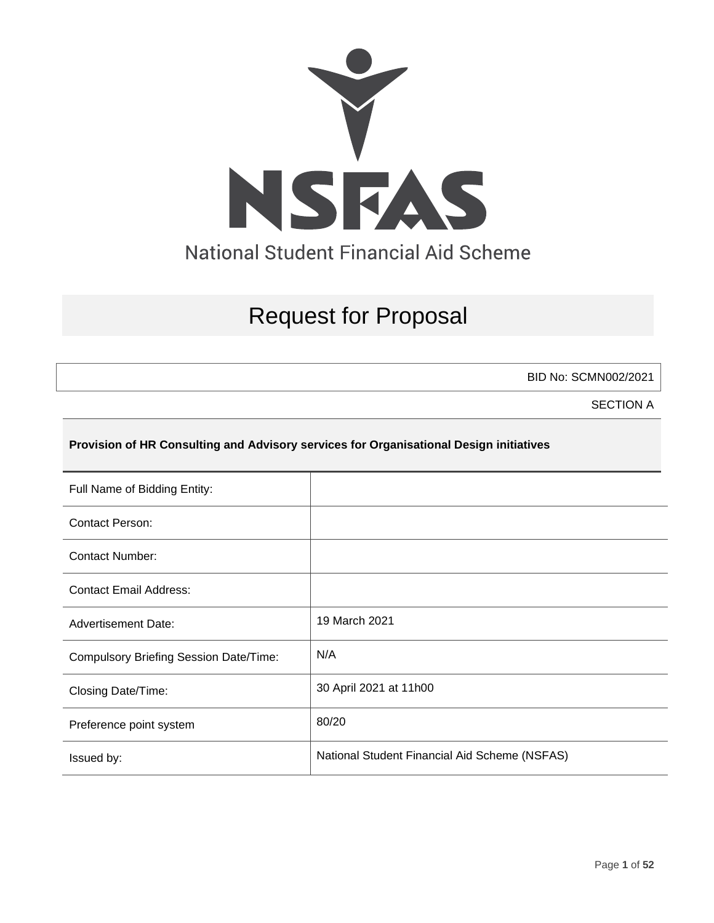

# Request for Proposal

BID No: SCMN002/2021

SECTION A

### **Provision of HR Consulting and Advisory services for Organisational Design initiatives**

| Full Name of Bidding Entity:                  |                                               |
|-----------------------------------------------|-----------------------------------------------|
| <b>Contact Person:</b>                        |                                               |
| Contact Number:                               |                                               |
| <b>Contact Email Address:</b>                 |                                               |
| <b>Advertisement Date:</b>                    | 19 March 2021                                 |
| <b>Compulsory Briefing Session Date/Time:</b> | N/A                                           |
| Closing Date/Time:                            | 30 April 2021 at 11h00                        |
| Preference point system                       | 80/20                                         |
| Issued by:                                    | National Student Financial Aid Scheme (NSFAS) |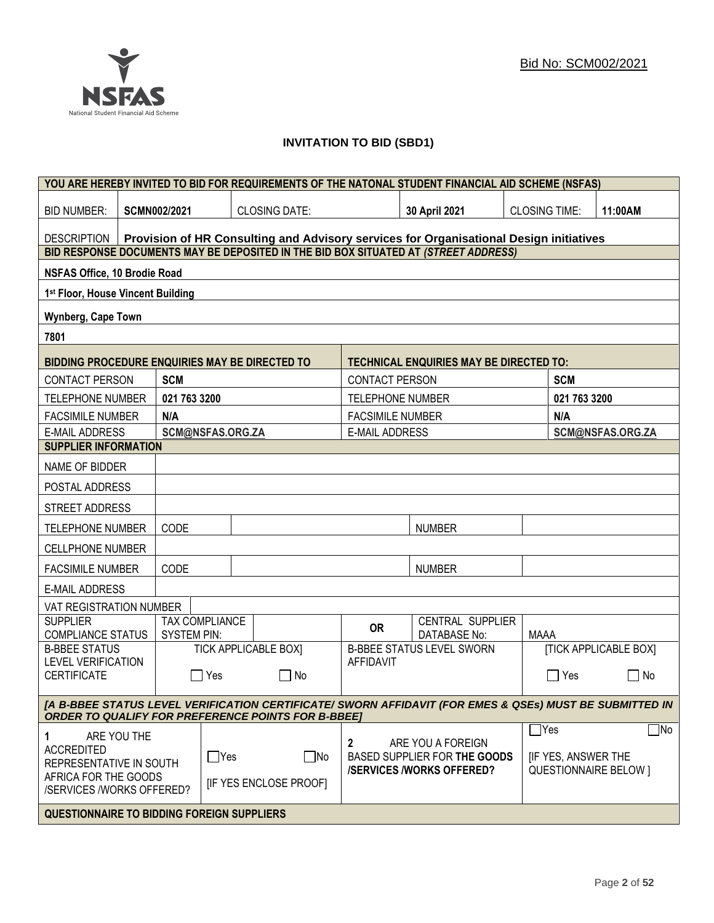

### **INVITATION TO BID (SBD1)**

|                                                   |                                                                                        |                     |                       | YOU ARE HEREBY INVITED TO BID FOR REQUIREMENTS OF THE NATONAL STUDENT FINANCIAL AID SCHEME (NSFAS)      |                         |                                                                                      |                      |                                               |                                           |
|---------------------------------------------------|----------------------------------------------------------------------------------------|---------------------|-----------------------|---------------------------------------------------------------------------------------------------------|-------------------------|--------------------------------------------------------------------------------------|----------------------|-----------------------------------------------|-------------------------------------------|
| <b>BID NUMBER:</b>                                |                                                                                        | <b>SCMN002/2021</b> |                       | <b>CLOSING DATE:</b>                                                                                    |                         | 30 April 2021                                                                        | <b>CLOSING TIME:</b> |                                               | 11:00AM                                   |
| DESCRIPTION                                       | Provision of HR Consulting and Advisory services for Organisational Design initiatives |                     |                       |                                                                                                         |                         |                                                                                      |                      |                                               |                                           |
|                                                   |                                                                                        |                     |                       | BID RESPONSE DOCUMENTS MAY BE DEPOSITED IN THE BID BOX SITUATED AT (STREET ADDRESS)                     |                         |                                                                                      |                      |                                               |                                           |
| <b>NSFAS Office, 10 Brodie Road</b>               |                                                                                        |                     |                       |                                                                                                         |                         |                                                                                      |                      |                                               |                                           |
| 1st Floor, House Vincent Building                 |                                                                                        |                     |                       |                                                                                                         |                         |                                                                                      |                      |                                               |                                           |
| Wynberg, Cape Town                                |                                                                                        |                     |                       |                                                                                                         |                         |                                                                                      |                      |                                               |                                           |
| 7801                                              |                                                                                        |                     |                       |                                                                                                         |                         |                                                                                      |                      |                                               |                                           |
| BIDDING PROCEDURE ENQUIRIES MAY BE DIRECTED TO    |                                                                                        |                     |                       |                                                                                                         |                         | <b>TECHNICAL ENQUIRIES MAY BE DIRECTED TO:</b>                                       |                      |                                               |                                           |
| <b>CONTACT PERSON</b>                             |                                                                                        | <b>SCM</b>          |                       |                                                                                                         | <b>CONTACT PERSON</b>   |                                                                                      |                      | <b>SCM</b>                                    |                                           |
| <b>TELEPHONE NUMBER</b>                           |                                                                                        | 021 763 3200        |                       |                                                                                                         | <b>TELEPHONE NUMBER</b> |                                                                                      |                      | 021 763 3200                                  |                                           |
| <b>FACSIMILE NUMBER</b>                           |                                                                                        | N/A                 |                       |                                                                                                         | <b>FACSIMILE NUMBER</b> |                                                                                      |                      | N/A                                           |                                           |
| <b>E-MAIL ADDRESS</b>                             |                                                                                        |                     | SCM@NSFAS.ORG.ZA      |                                                                                                         | <b>E-MAIL ADDRESS</b>   |                                                                                      |                      |                                               | SCM@NSFAS.ORG.ZA                          |
| <b>SUPPLIER INFORMATION</b>                       |                                                                                        |                     |                       |                                                                                                         |                         |                                                                                      |                      |                                               |                                           |
| NAME OF BIDDER                                    |                                                                                        |                     |                       |                                                                                                         |                         |                                                                                      |                      |                                               |                                           |
| POSTAL ADDRESS                                    |                                                                                        |                     |                       |                                                                                                         |                         |                                                                                      |                      |                                               |                                           |
| STREET ADDRESS                                    |                                                                                        |                     |                       |                                                                                                         |                         |                                                                                      |                      |                                               |                                           |
| <b>TELEPHONE NUMBER</b>                           |                                                                                        | CODE                |                       |                                                                                                         |                         | <b>NUMBER</b>                                                                        |                      |                                               |                                           |
| <b>CELLPHONE NUMBER</b>                           |                                                                                        |                     |                       |                                                                                                         |                         |                                                                                      |                      |                                               |                                           |
| <b>FACSIMILE NUMBER</b>                           |                                                                                        | CODE                |                       |                                                                                                         |                         | <b>NUMBER</b>                                                                        |                      |                                               |                                           |
| <b>E-MAIL ADDRESS</b>                             |                                                                                        |                     |                       |                                                                                                         |                         |                                                                                      |                      |                                               |                                           |
| VAT REGISTRATION NUMBER                           |                                                                                        |                     |                       |                                                                                                         |                         |                                                                                      |                      |                                               |                                           |
| <b>SUPPLIER</b><br><b>COMPLIANCE STATUS</b>       |                                                                                        | <b>SYSTEM PIN:</b>  | <b>TAX COMPLIANCE</b> |                                                                                                         | <b>OR</b>               | CENTRAL SUPPLIER<br>DATABASE No:                                                     | <b>MAAA</b>          |                                               |                                           |
| <b>B-BBEE STATUS</b>                              |                                                                                        |                     |                       | <b>TICK APPLICABLE BOX]</b>                                                                             |                         | <b>B-BBEE STATUS LEVEL SWORN</b>                                                     |                      |                                               | <b>[TICK APPLICABLE BOX]</b>              |
| <b>LEVEL VERIFICATION</b><br><b>CERTIFICATE</b>   |                                                                                        |                     | Yes                   | □ No                                                                                                    | <b>AFFIDAVIT</b>        |                                                                                      |                      | ∏ Yes                                         | No<br>$\mathsf{L}$                        |
|                                                   |                                                                                        |                     |                       | [A B-BBEE STATUS LEVEL VERIFICATION CERTIFICATE/ SWORN AFFIDAVIT (FOR EMES & QSEs) MUST BE SUBMITTED IN |                         |                                                                                      |                      |                                               |                                           |
|                                                   |                                                                                        |                     |                       | <b>ORDER TO QUALIFY FOR PREFERENCE POINTS FOR B-BBEE]</b>                                               |                         |                                                                                      |                      |                                               |                                           |
| 1<br><b>ACCREDITED</b><br>REPRESENTATIVE IN SOUTH | ARE YOU THE                                                                            |                     | $\Box$ Yes            | ∣_ No                                                                                                   | $\mathbf{2}$            | ARE YOU A FOREIGN<br>BASED SUPPLIER FOR THE GOODS<br><b>/SERVICES/WORKS OFFERED?</b> |                      | $\mathsf{T}$ Yes<br><b>IF YES, ANSWER THE</b> | $\Box$ No<br><b>QUESTIONNAIRE BELOW 1</b> |
| AFRICA FOR THE GOODS                              | <b>IF YES ENCLOSE PROOFI</b><br>/SERVICES /WORKS OFFERED?                              |                     |                       |                                                                                                         |                         |                                                                                      |                      |                                               |                                           |
| <b>QUESTIONNAIRE TO BIDDING FOREIGN SUPPLIERS</b> |                                                                                        |                     |                       |                                                                                                         |                         |                                                                                      |                      |                                               |                                           |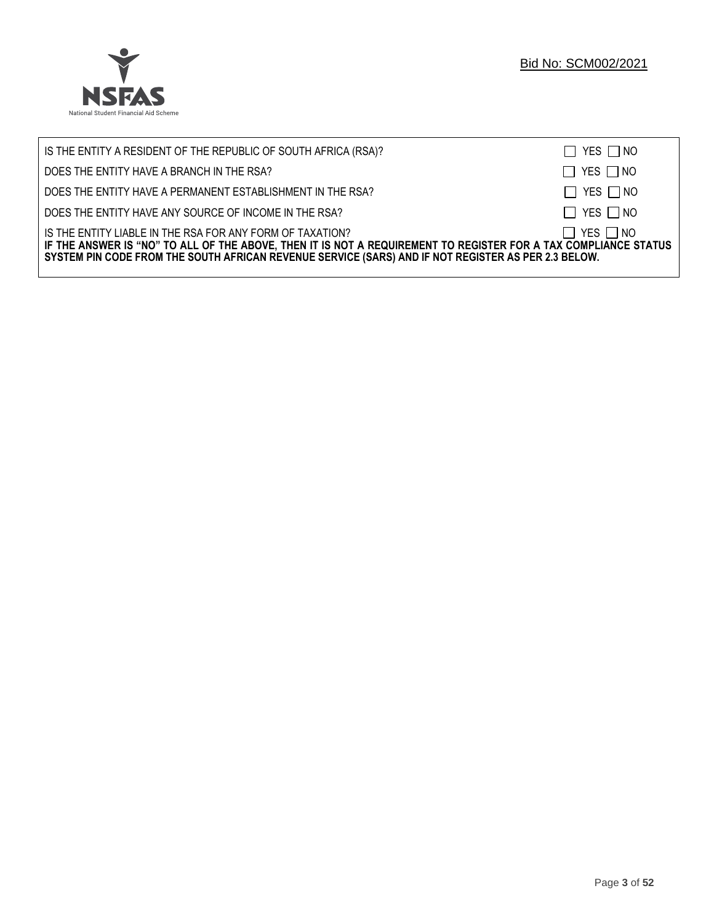

| IS THE ENTITY A RESIDENT OF THE REPUBLIC OF SOUTH AFRICA (RSA)?                                                                                                                                                                                                                     | $\Box$ YES $\Box$ NO |
|-------------------------------------------------------------------------------------------------------------------------------------------------------------------------------------------------------------------------------------------------------------------------------------|----------------------|
| DOES THE ENTITY HAVE A BRANCH IN THE RSA?                                                                                                                                                                                                                                           | $\Box$ YES $\Box$ NO |
| DOES THE ENTITY HAVE A PERMANENT ESTABLISHMENT IN THE RSA?                                                                                                                                                                                                                          | $\Box$ YES $\Box$ NO |
| DOES THE ENTITY HAVE ANY SOURCE OF INCOME IN THE RSA?                                                                                                                                                                                                                               | $\Box$ YES $\Box$ NO |
| IS THE ENTITY LIABLE IN THE RSA FOR ANY FORM OF TAXATION?<br>IF THE ANSWER IS "NO" TO ALL OF THE ABOVE, THEN IT IS NOT A REQUIREMENT TO REGISTER FOR A TAX COMPLIANCE STATUS<br>SYSTEM PIN CODE FROM THE SOUTH AFRICAN REVENUE SERVICE (SARS) AND IF NOT REGISTER AS PER 2.3 BELOW. | $\Box$ YES $\Box$ NO |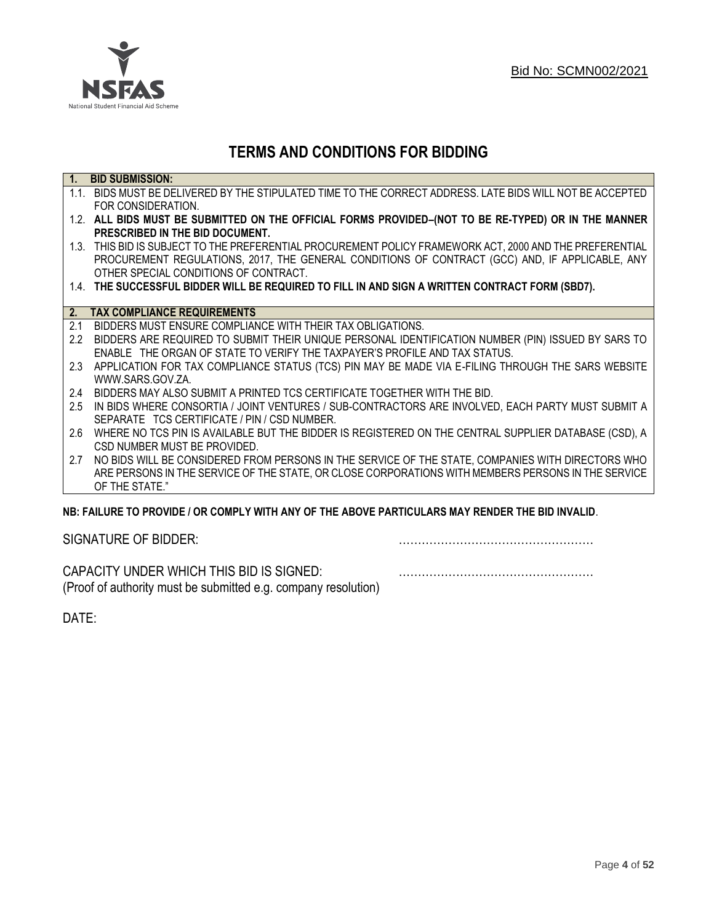

## **TERMS AND CONDITIONS FOR BIDDING**

| $\overline{1}$ . | <b>BID SUBMISSION:</b>                                                                                    |
|------------------|-----------------------------------------------------------------------------------------------------------|
|                  | 1.1. BIDS MUST BE DELIVERED BY THE STIPULATED TIME TO THE CORRECT ADDRESS. LATE BIDS WILL NOT BE ACCEPTED |
|                  | FOR CONSIDERATION.                                                                                        |
|                  | 1.2. ALL BIDS MUST BE SUBMITTED ON THE OFFICIAL FORMS PROVIDED-(NOT TO BE RE-TYPED) OR IN THE MANNER      |
|                  | PRESCRIBED IN THE BID DOCUMENT.                                                                           |
|                  | 1.3. THIS BID IS SUBJECT TO THE PREFERENTIAL PROCUREMENT POLICY FRAMEWORK ACT, 2000 AND THE PREFERENTIAL  |
|                  | PROCUREMENT REGULATIONS, 2017, THE GENERAL CONDITIONS OF CONTRACT (GCC) AND, IF APPLICABLE, ANY           |
|                  | OTHER SPECIAL CONDITIONS OF CONTRACT.                                                                     |
|                  | 1.4. THE SUCCESSFUL BIDDER WILL BE REQUIRED TO FILL IN AND SIGN A WRITTEN CONTRACT FORM (SBD7).           |
|                  |                                                                                                           |
|                  | 2. TAX COMPLIANCE REQUIREMENTS                                                                            |
| 2.1              | BIDDERS MUST ENSURE COMPLIANCE WITH THEIR TAX OBLIGATIONS.                                                |
| $2.2^{\circ}$    | BIDDERS ARE REQUIRED TO SUBMIT THEIR UNIQUE PERSONAL IDENTIFICATION NUMBER (PIN) ISSUED BY SARS TO        |
|                  | ENABLE THE ORGAN OF STATE TO VERIFY THE TAXPAYER'S PROFILE AND TAX STATUS.                                |
| 2.3              | APPLICATION FOR TAX COMPLIANCE STATUS (TCS) PIN MAY BE MADE VIA E-FILING THROUGH THE SARS WEBSITE         |
|                  | WWW.SARS.GOV.ZA.                                                                                          |
| 2.4              | BIDDERS MAY ALSO SUBMIT A PRINTED TCS CERTIFICATE TOGETHER WITH THE BID.                                  |
| 2.5              | IN BIDS WHERE CONSORTIA / JOINT VENTURES / SUB-CONTRACTORS ARE INVOLVED, EACH PARTY MUST SUBMIT A         |
|                  | SEPARATE TCS CERTIFICATE / PIN / CSD NUMBER.                                                              |
| 2.6              | WHERE NO TCS PIN IS AVAILABLE BUT THE BIDDER IS REGISTERED ON THE CENTRAL SUPPLIER DATABASE (CSD), A      |
|                  | CSD NUMBER MUST BE PROVIDED.                                                                              |
| 2.7              | NO BIDS WILL BE CONSIDERED FROM PERSONS IN THE SERVICE OF THE STATE, COMPANIES WITH DIRECTORS WHO         |
|                  | ARE PERSONS IN THE SERVICE OF THE STATE, OR CLOSE CORPORATIONS WITH MEMBERS PERSONS IN THE SERVICE        |
|                  | OF THE STATE."                                                                                            |
|                  | ND. EAILHDE TÓ DDÓVIDE LÓD CÓMDLV WITH ANY ÓE THE ADÓVE DADTICHLADO MAY DENDED THE DID INVALID.           |

### **NB: FAILURE TO PROVIDE / OR COMPLY WITH ANY OF THE ABOVE PARTICULARS MAY RENDER THE BID INVALID**.

|  | SIGNATURE OF BIDDER: |
|--|----------------------|
|--|----------------------|

SIGNATURE OF BIDDER: ……………………………………………

CAPACITY UNDER WHICH THIS BID IS SIGNED: …………………………………………… (Proof of authority must be submitted e.g. company resolution)

DATE: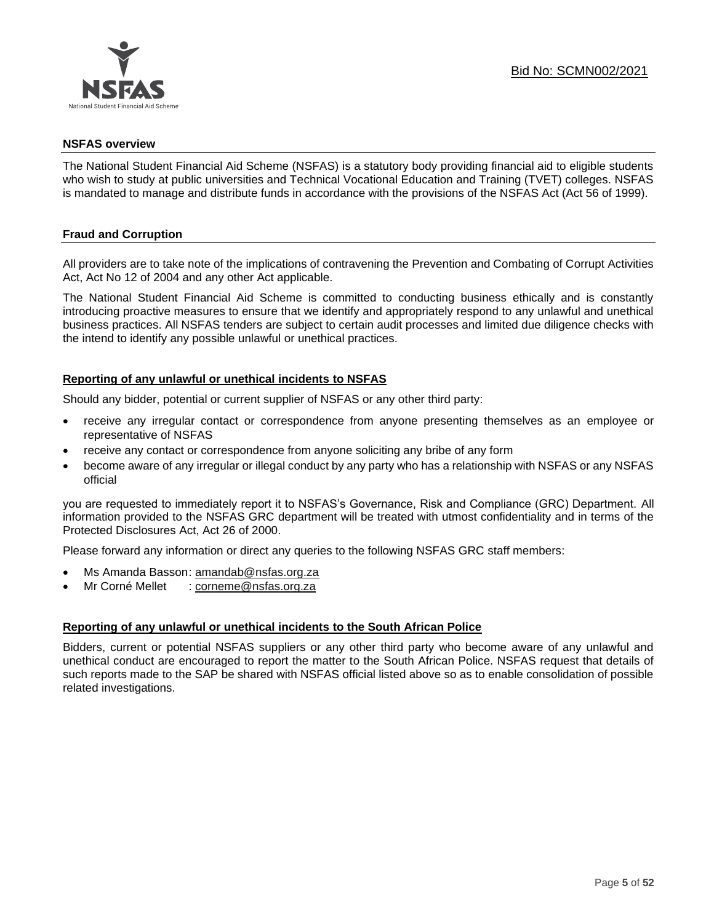

### **NSFAS overview**

The National Student Financial Aid Scheme (NSFAS) is a statutory body providing financial aid to eligible students who wish to study at public universities and Technical Vocational Education and Training (TVET) colleges. NSFAS is mandated to manage and distribute funds in accordance with the provisions of the NSFAS Act (Act 56 of 1999).

### **Fraud and Corruption**

All providers are to take note of the implications of contravening the Prevention and Combating of Corrupt Activities Act, Act No 12 of 2004 and any other Act applicable.

The National Student Financial Aid Scheme is committed to conducting business ethically and is constantly introducing proactive measures to ensure that we identify and appropriately respond to any unlawful and unethical business practices. All NSFAS tenders are subject to certain audit processes and limited due diligence checks with the intend to identify any possible unlawful or unethical practices.

### **Reporting of any unlawful or unethical incidents to NSFAS**

Should any bidder, potential or current supplier of NSFAS or any other third party:

- receive any irregular contact or correspondence from anyone presenting themselves as an employee or representative of NSFAS
- receive any contact or correspondence from anyone soliciting any bribe of any form
- become aware of any irregular or illegal conduct by any party who has a relationship with NSFAS or any NSFAS official

you are requested to immediately report it to NSFAS's Governance, Risk and Compliance (GRC) Department. All information provided to the NSFAS GRC department will be treated with utmost confidentiality and in terms of the Protected Disclosures Act, Act 26 of 2000.

Please forward any information or direct any queries to the following NSFAS GRC staff members:

- Ms Amanda Basson: [amandab@nsfas.org.za](mailto:amandab@nsfas.org.za)
- Mr Corné Mellet : [corneme@nsfas.org.za](mailto:corneme@nsfas.org.za)

### **Reporting of any unlawful or unethical incidents to the South African Police**

Bidders, current or potential NSFAS suppliers or any other third party who become aware of any unlawful and unethical conduct are encouraged to report the matter to the South African Police. NSFAS request that details of such reports made to the SAP be shared with NSFAS official listed above so as to enable consolidation of possible related investigations.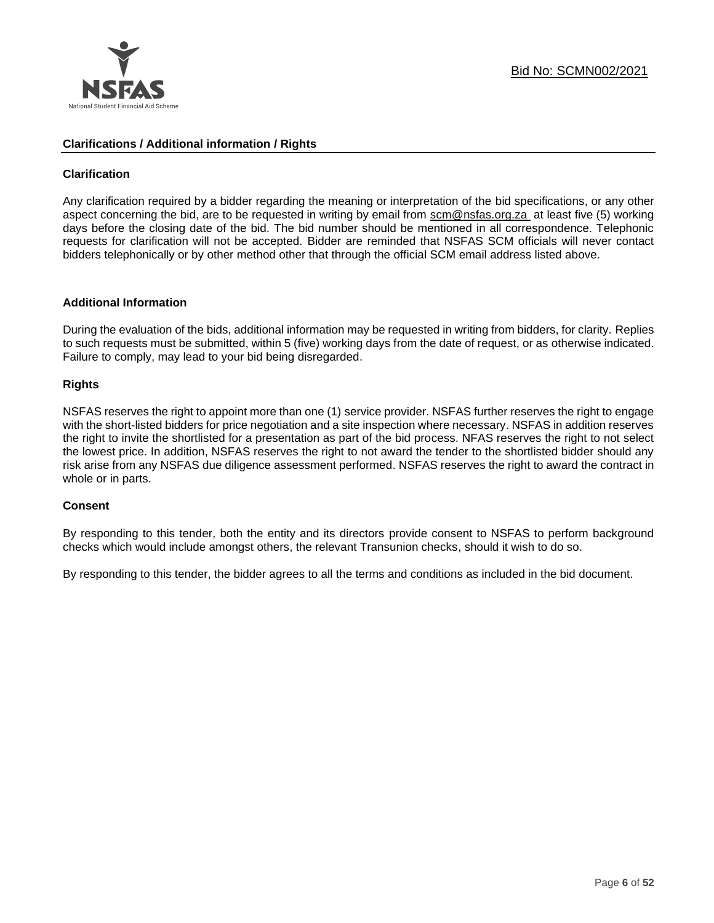

### **Clarifications / Additional information / Rights**

### **Clarification**

Any clarification required by a bidder regarding the meaning or interpretation of the bid specifications, or any other aspect concerning the bid, are to be requested in writing by email from [scm@nsfas.org.za](mailto:scm@nsfas.org.za) at least five (5) working days before the closing date of the bid. The bid number should be mentioned in all correspondence. Telephonic requests for clarification will not be accepted. Bidder are reminded that NSFAS SCM officials will never contact bidders telephonically or by other method other that through the official SCM email address listed above.

### **Additional Information**

During the evaluation of the bids, additional information may be requested in writing from bidders, for clarity. Replies to such requests must be submitted, within 5 (five) working days from the date of request, or as otherwise indicated. Failure to comply, may lead to your bid being disregarded.

### **Rights**

NSFAS reserves the right to appoint more than one (1) service provider. NSFAS further reserves the right to engage with the short-listed bidders for price negotiation and a site inspection where necessary. NSFAS in addition reserves the right to invite the shortlisted for a presentation as part of the bid process. NFAS reserves the right to not select the lowest price. In addition, NSFAS reserves the right to not award the tender to the shortlisted bidder should any risk arise from any NSFAS due diligence assessment performed. NSFAS reserves the right to award the contract in whole or in parts.

### **Consent**

By responding to this tender, both the entity and its directors provide consent to NSFAS to perform background checks which would include amongst others, the relevant Transunion checks, should it wish to do so.

By responding to this tender, the bidder agrees to all the terms and conditions as included in the bid document.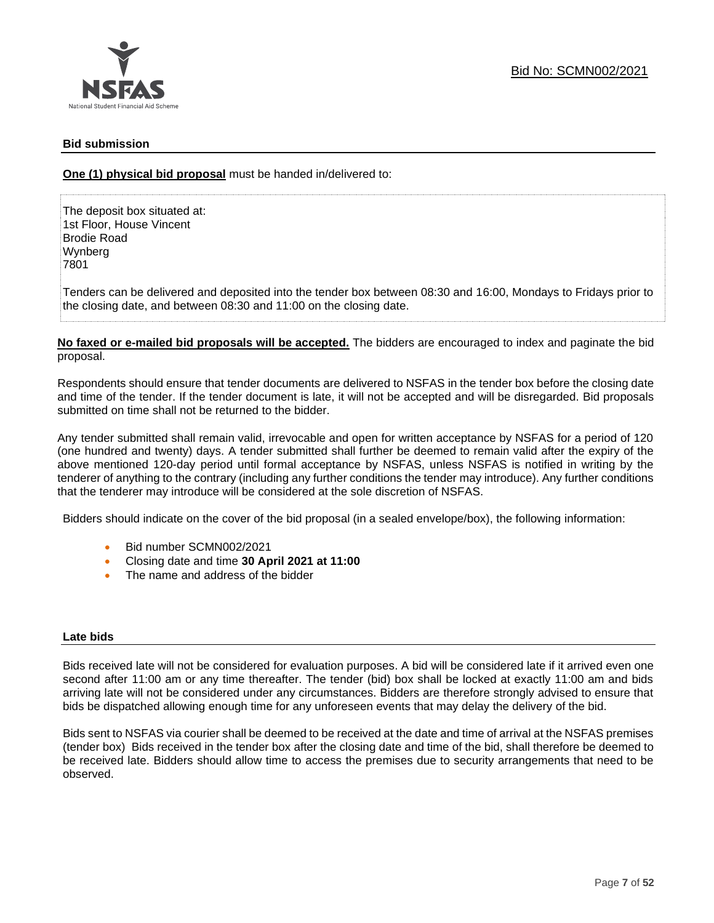### **Bid submission**

**One (1) physical bid proposal** must be handed in/delivered to:

The deposit box situated at: 1st Floor, House Vincent Brodie Road Wynberg 7801

Tenders can be delivered and deposited into the tender box between 08:30 and 16:00, Mondays to Fridays prior to the closing date, and between 08:30 and 11:00 on the closing date.

**No faxed or e-mailed bid proposals will be accepted.** The bidders are encouraged to index and paginate the bid proposal.

Respondents should ensure that tender documents are delivered to NSFAS in the tender box before the closing date and time of the tender. If the tender document is late, it will not be accepted and will be disregarded. Bid proposals submitted on time shall not be returned to the bidder.

Any tender submitted shall remain valid, irrevocable and open for written acceptance by NSFAS for a period of 120 (one hundred and twenty) days. A tender submitted shall further be deemed to remain valid after the expiry of the above mentioned 120-day period until formal acceptance by NSFAS, unless NSFAS is notified in writing by the tenderer of anything to the contrary (including any further conditions the tender may introduce). Any further conditions that the tenderer may introduce will be considered at the sole discretion of NSFAS.

Bidders should indicate on the cover of the bid proposal (in a sealed envelope/box), the following information:

- Bid number SCMN002/2021
- Closing date and time **30 April 2021 at 11:00**
- The name and address of the bidder

### **Late bids**

Bids received late will not be considered for evaluation purposes. A bid will be considered late if it arrived even one second after 11:00 am or any time thereafter. The tender (bid) box shall be locked at exactly 11:00 am and bids arriving late will not be considered under any circumstances. Bidders are therefore strongly advised to ensure that bids be dispatched allowing enough time for any unforeseen events that may delay the delivery of the bid.

Bids sent to NSFAS via courier shall be deemed to be received at the date and time of arrival at the NSFAS premises (tender box) Bids received in the tender box after the closing date and time of the bid, shall therefore be deemed to be received late. Bidders should allow time to access the premises due to security arrangements that need to be observed.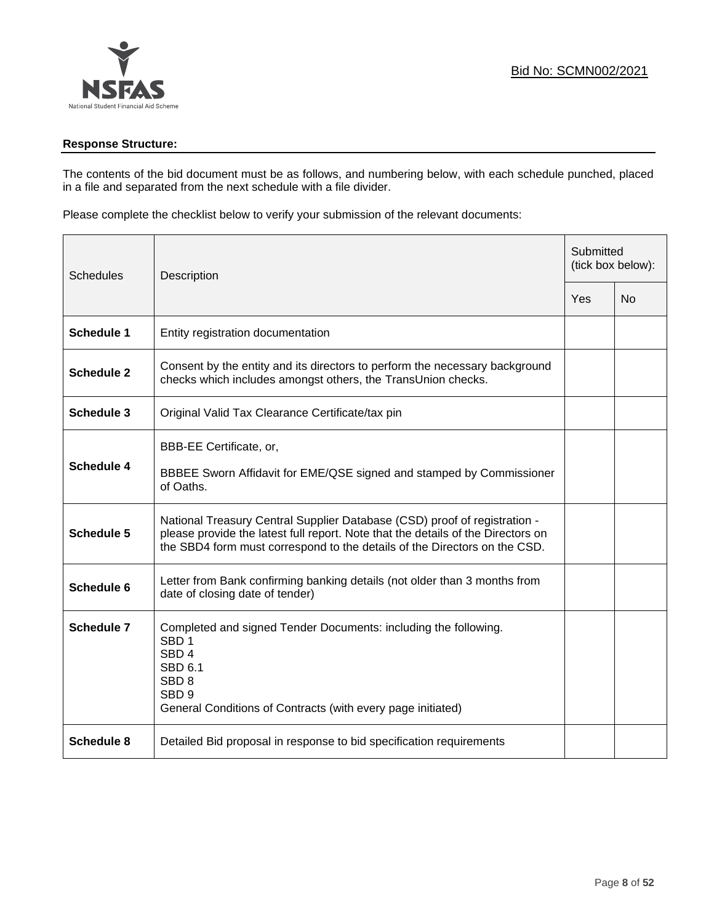

### **Response Structure:**

The contents of the bid document must be as follows, and numbering below, with each schedule punched, placed in a file and separated from the next schedule with a file divider.

Please complete the checklist below to verify your submission of the relevant documents:

| <b>Schedules</b>  | Description                                                                                                                                                                                                                                |     | Submitted<br>(tick box below): |  |
|-------------------|--------------------------------------------------------------------------------------------------------------------------------------------------------------------------------------------------------------------------------------------|-----|--------------------------------|--|
|                   |                                                                                                                                                                                                                                            | Yes | <b>No</b>                      |  |
| <b>Schedule 1</b> | Entity registration documentation                                                                                                                                                                                                          |     |                                |  |
| <b>Schedule 2</b> | Consent by the entity and its directors to perform the necessary background<br>checks which includes amongst others, the TransUnion checks.                                                                                                |     |                                |  |
| Schedule 3        | Original Valid Tax Clearance Certificate/tax pin                                                                                                                                                                                           |     |                                |  |
| <b>Schedule 4</b> | BBB-EE Certificate, or,<br>BBBEE Sworn Affidavit for EME/QSE signed and stamped by Commissioner<br>of Oaths.                                                                                                                               |     |                                |  |
| <b>Schedule 5</b> | National Treasury Central Supplier Database (CSD) proof of registration -<br>please provide the latest full report. Note that the details of the Directors on<br>the SBD4 form must correspond to the details of the Directors on the CSD. |     |                                |  |
| Schedule 6        | Letter from Bank confirming banking details (not older than 3 months from<br>date of closing date of tender)                                                                                                                               |     |                                |  |
| Schedule 7        | Completed and signed Tender Documents: including the following.<br>SBD <sub>1</sub><br>SBD <sub>4</sub><br>SBD 6.1<br>SBD <sub>8</sub><br>SBD <sub>9</sub><br>General Conditions of Contracts (with every page initiated)                  |     |                                |  |
| <b>Schedule 8</b> | Detailed Bid proposal in response to bid specification requirements                                                                                                                                                                        |     |                                |  |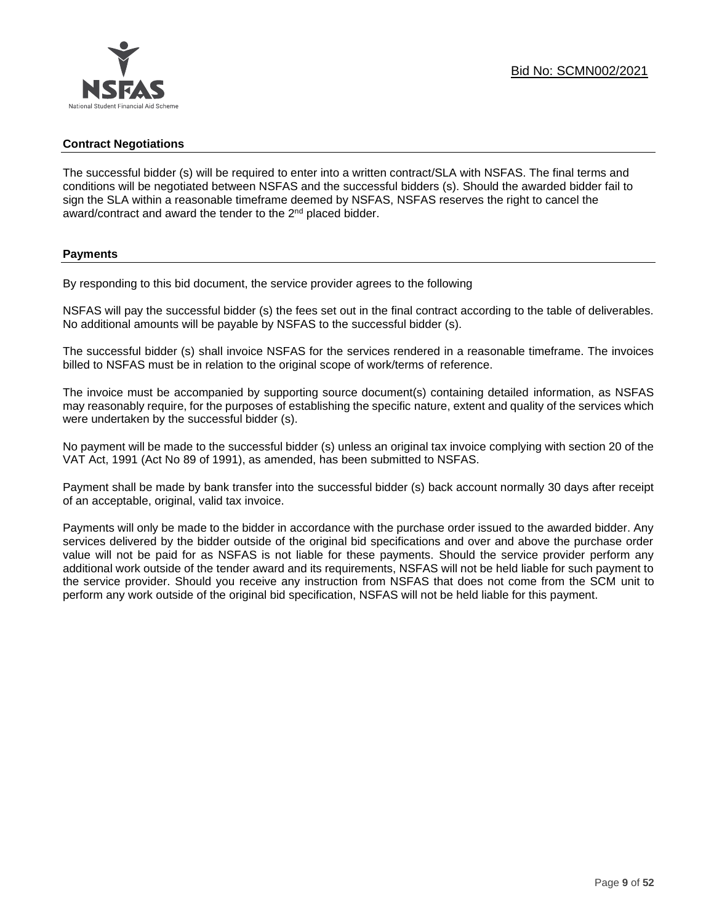### **Contract Negotiations**

The successful bidder (s) will be required to enter into a written contract/SLA with NSFAS. The final terms and conditions will be negotiated between NSFAS and the successful bidders (s). Should the awarded bidder fail to sign the SLA within a reasonable timeframe deemed by NSFAS, NSFAS reserves the right to cancel the award/contract and award the tender to the 2<sup>nd</sup> placed bidder.

### **Payments**

By responding to this bid document, the service provider agrees to the following

NSFAS will pay the successful bidder (s) the fees set out in the final contract according to the table of deliverables. No additional amounts will be payable by NSFAS to the successful bidder (s).

The successful bidder (s) shall invoice NSFAS for the services rendered in a reasonable timeframe. The invoices billed to NSFAS must be in relation to the original scope of work/terms of reference.

The invoice must be accompanied by supporting source document(s) containing detailed information, as NSFAS may reasonably require, for the purposes of establishing the specific nature, extent and quality of the services which were undertaken by the successful bidder (s).

No payment will be made to the successful bidder (s) unless an original tax invoice complying with section 20 of the VAT Act, 1991 (Act No 89 of 1991), as amended, has been submitted to NSFAS.

Payment shall be made by bank transfer into the successful bidder (s) back account normally 30 days after receipt of an acceptable, original, valid tax invoice.

Payments will only be made to the bidder in accordance with the purchase order issued to the awarded bidder. Any services delivered by the bidder outside of the original bid specifications and over and above the purchase order value will not be paid for as NSFAS is not liable for these payments. Should the service provider perform any additional work outside of the tender award and its requirements, NSFAS will not be held liable for such payment to the service provider. Should you receive any instruction from NSFAS that does not come from the SCM unit to perform any work outside of the original bid specification, NSFAS will not be held liable for this payment.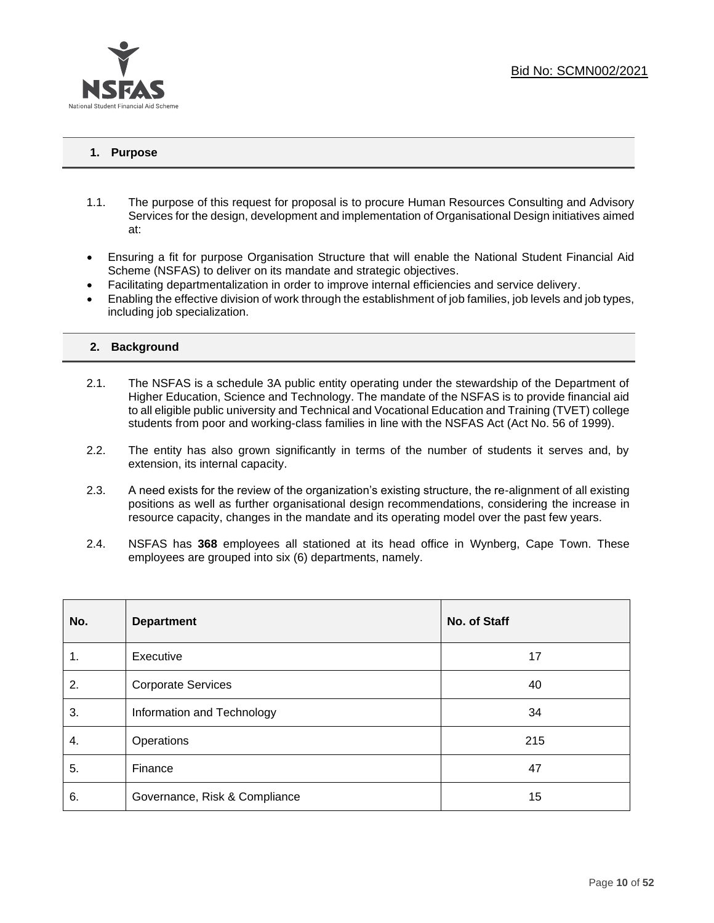

### **1. Purpose**

- 1.1. The purpose of this request for proposal is to procure Human Resources Consulting and Advisory Services for the design, development and implementation of Organisational Design initiatives aimed at:
- Ensuring a fit for purpose Organisation Structure that will enable the National Student Financial Aid Scheme (NSFAS) to deliver on its mandate and strategic objectives.
- Facilitating departmentalization in order to improve internal efficiencies and service delivery.
- Enabling the effective division of work through the establishment of job families, job levels and job types, including job specialization.

### **2. Background**

- 2.1. The NSFAS is a schedule 3A public entity operating under the stewardship of the Department of Higher Education, Science and Technology. The mandate of the NSFAS is to provide financial aid to all eligible public university and Technical and Vocational Education and Training (TVET) college students from poor and working-class families in line with the NSFAS Act (Act No. 56 of 1999).
- 2.2. The entity has also grown significantly in terms of the number of students it serves and, by extension, its internal capacity.
- 2.3. A need exists for the review of the organization's existing structure, the re-alignment of all existing positions as well as further organisational design recommendations, considering the increase in resource capacity, changes in the mandate and its operating model over the past few years.
- 2.4. NSFAS has **368** employees all stationed at its head office in Wynberg, Cape Town. These employees are grouped into six (6) departments, namely.

| No. | <b>Department</b>             | No. of Staff |
|-----|-------------------------------|--------------|
| 1.  | Executive                     | 17           |
| 2.  | <b>Corporate Services</b>     | 40           |
| 3.  | Information and Technology    | 34           |
| 4.  | Operations                    | 215          |
| 5.  | Finance                       | 47           |
| 6.  | Governance, Risk & Compliance | 15           |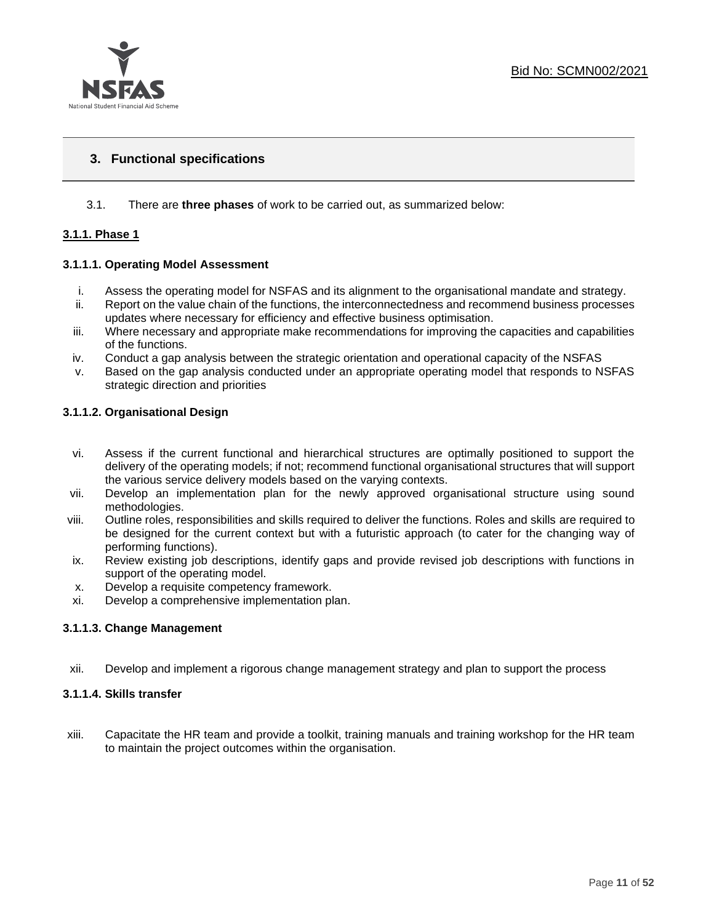

### **3. Functional specifications**

### 3.1. There are **three phases** of work to be carried out, as summarized below:

### **3.1.1. Phase 1**

### **3.1.1.1. Operating Model Assessment**

- i. Assess the operating model for NSFAS and its alignment to the organisational mandate and strategy.
- ii. Report on the value chain of the functions, the interconnectedness and recommend business processes updates where necessary for efficiency and effective business optimisation.
- iii. Where necessary and appropriate make recommendations for improving the capacities and capabilities of the functions.
- iv. Conduct a gap analysis between the strategic orientation and operational capacity of the NSFAS
- v. Based on the gap analysis conducted under an appropriate operating model that responds to NSFAS strategic direction and priorities

### **3.1.1.2. Organisational Design**

- vi. Assess if the current functional and hierarchical structures are optimally positioned to support the delivery of the operating models; if not; recommend functional organisational structures that will support the various service delivery models based on the varying contexts.
- vii. Develop an implementation plan for the newly approved organisational structure using sound methodologies.
- viii. Outline roles, responsibilities and skills required to deliver the functions. Roles and skills are required to be designed for the current context but with a futuristic approach (to cater for the changing way of performing functions).
- ix. Review existing job descriptions, identify gaps and provide revised job descriptions with functions in support of the operating model.
- x. Develop a requisite competency framework.
- xi. Develop a comprehensive implementation plan.

### **3.1.1.3. Change Management**

xii. Develop and implement a rigorous change management strategy and plan to support the process

### **3.1.1.4. Skills transfer**

xiii. Capacitate the HR team and provide a toolkit, training manuals and training workshop for the HR team to maintain the project outcomes within the organisation.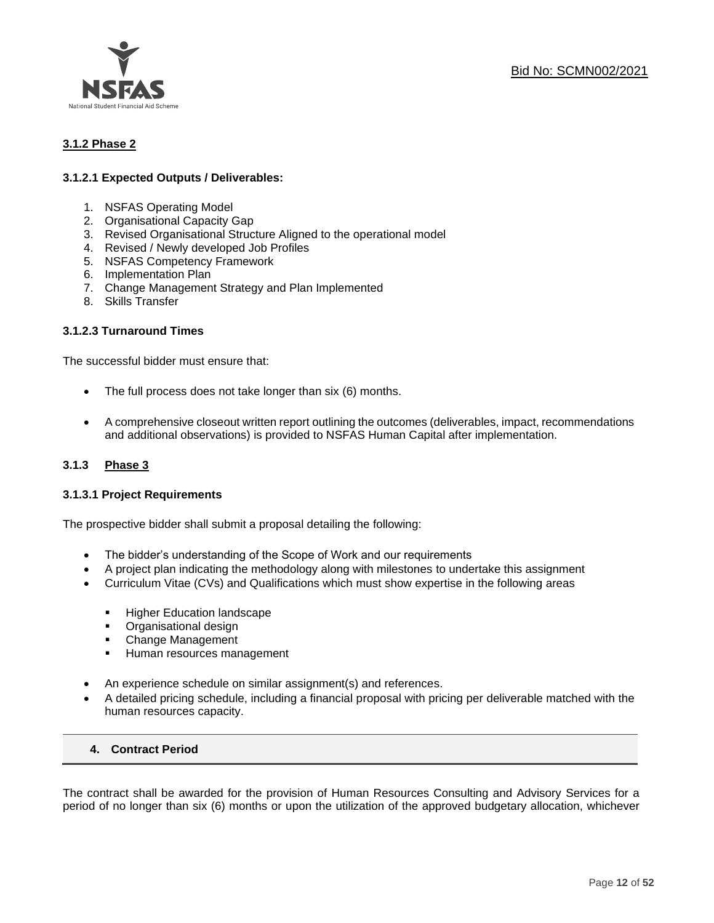

### **3.1.2 Phase 2**

### **3.1.2.1 Expected Outputs / Deliverables:**

- 1. NSFAS Operating Model
- 2. Organisational Capacity Gap
- 3. Revised Organisational Structure Aligned to the operational model
- 4. Revised / Newly developed Job Profiles
- 5. NSFAS Competency Framework
- 6. Implementation Plan
- 7. Change Management Strategy and Plan Implemented
- 8. Skills Transfer

### **3.1.2.3 Turnaround Times**

The successful bidder must ensure that:

- The full process does not take longer than six (6) months.
- A comprehensive closeout written report outlining the outcomes (deliverables, impact, recommendations and additional observations) is provided to NSFAS Human Capital after implementation.

### **3.1.3 Phase 3**

### **3.1.3.1 Project Requirements**

The prospective bidder shall submit a proposal detailing the following:

- The bidder's understanding of the Scope of Work and our requirements
- A project plan indicating the methodology along with milestones to undertake this assignment
- Curriculum Vitae (CVs) and Qualifications which must show expertise in the following areas
	- Higher Education landscape
	- Organisational design
	- Change Management
	- **E** Human resources management
- An experience schedule on similar assignment(s) and references.
- A detailed pricing schedule, including a financial proposal with pricing per deliverable matched with the human resources capacity.

### **4. Contract Period**

The contract shall be awarded for the provision of Human Resources Consulting and Advisory Services for a period of no longer than six (6) months or upon the utilization of the approved budgetary allocation, whichever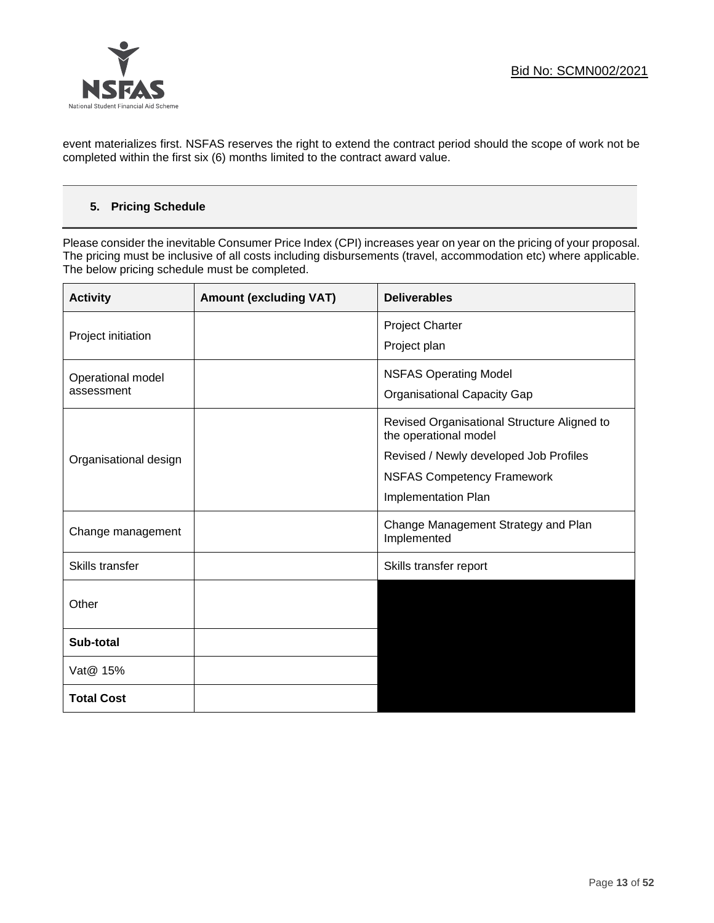

event materializes first. NSFAS reserves the right to extend the contract period should the scope of work not be completed within the first six (6) months limited to the contract award value.

### **5. Pricing Schedule**

Please consider the inevitable Consumer Price Index (CPI) increases year on year on the pricing of your proposal. The pricing must be inclusive of all costs including disbursements (travel, accommodation etc) where applicable. The below pricing schedule must be completed.

| <b>Activity</b>       | <b>Amount (excluding VAT)</b> | <b>Deliverables</b>                                                  |
|-----------------------|-------------------------------|----------------------------------------------------------------------|
| Project initiation    |                               | <b>Project Charter</b>                                               |
|                       |                               | Project plan                                                         |
| Operational model     |                               | <b>NSFAS Operating Model</b>                                         |
| assessment            |                               | <b>Organisational Capacity Gap</b>                                   |
|                       |                               | Revised Organisational Structure Aligned to<br>the operational model |
| Organisational design |                               | Revised / Newly developed Job Profiles                               |
|                       |                               | <b>NSFAS Competency Framework</b>                                    |
|                       |                               | Implementation Plan                                                  |
| Change management     |                               | Change Management Strategy and Plan<br>Implemented                   |
| Skills transfer       |                               | Skills transfer report                                               |
| Other                 |                               |                                                                      |
| Sub-total             |                               |                                                                      |
| Vat@ 15%              |                               |                                                                      |
| <b>Total Cost</b>     |                               |                                                                      |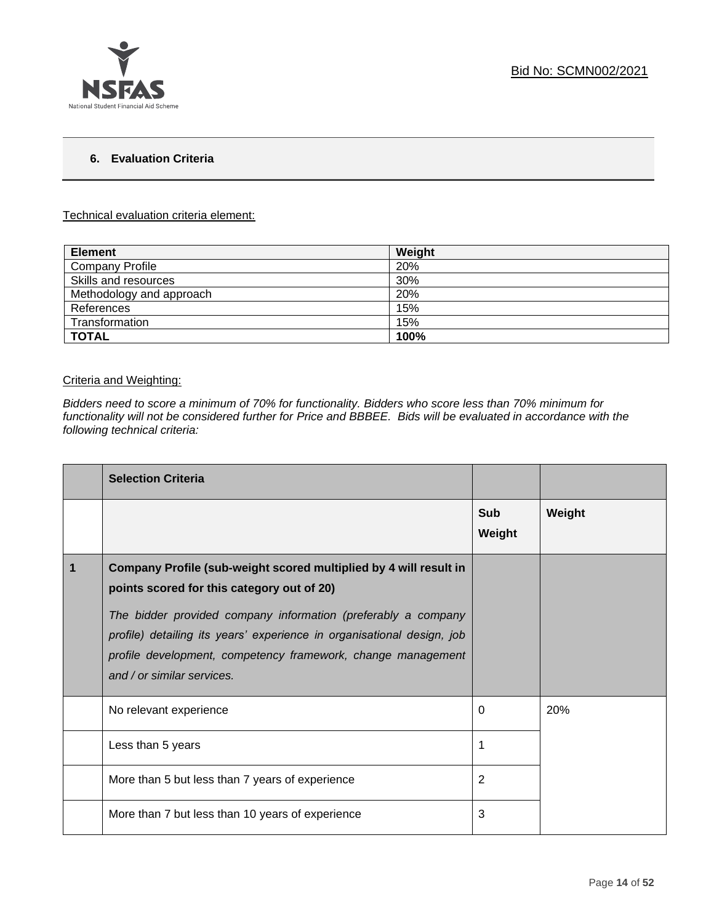

### **6. Evaluation Criteria**

#### Technical evaluation criteria element:

| <b>Element</b>           | Weight |
|--------------------------|--------|
| <b>Company Profile</b>   | 20%    |
| Skills and resources     | 30%    |
| Methodology and approach | 20%    |
| References               | 15%    |
| Transformation           | 15%    |
| <b>TOTAL</b>             | 100%   |

### Criteria and Weighting:

*Bidders need to score a minimum of 70% for functionality. Bidders who score less than 70% minimum for functionality will not be considered further for Price and BBBEE. Bids will be evaluated in accordance with the following technical criteria:*

|   | <b>Selection Criteria</b>                                                                                                                                                                                                             |                      |        |
|---|---------------------------------------------------------------------------------------------------------------------------------------------------------------------------------------------------------------------------------------|----------------------|--------|
|   |                                                                                                                                                                                                                                       | <b>Sub</b><br>Weight | Weight |
| 1 | Company Profile (sub-weight scored multiplied by 4 will result in<br>points scored for this category out of 20)                                                                                                                       |                      |        |
|   | The bidder provided company information (preferably a company<br>profile) detailing its years' experience in organisational design, job<br>profile development, competency framework, change management<br>and / or similar services. |                      |        |
|   | No relevant experience                                                                                                                                                                                                                | 0                    | 20%    |
|   | Less than 5 years                                                                                                                                                                                                                     | 1                    |        |
|   | More than 5 but less than 7 years of experience                                                                                                                                                                                       | 2                    |        |
|   | More than 7 but less than 10 years of experience                                                                                                                                                                                      | 3                    |        |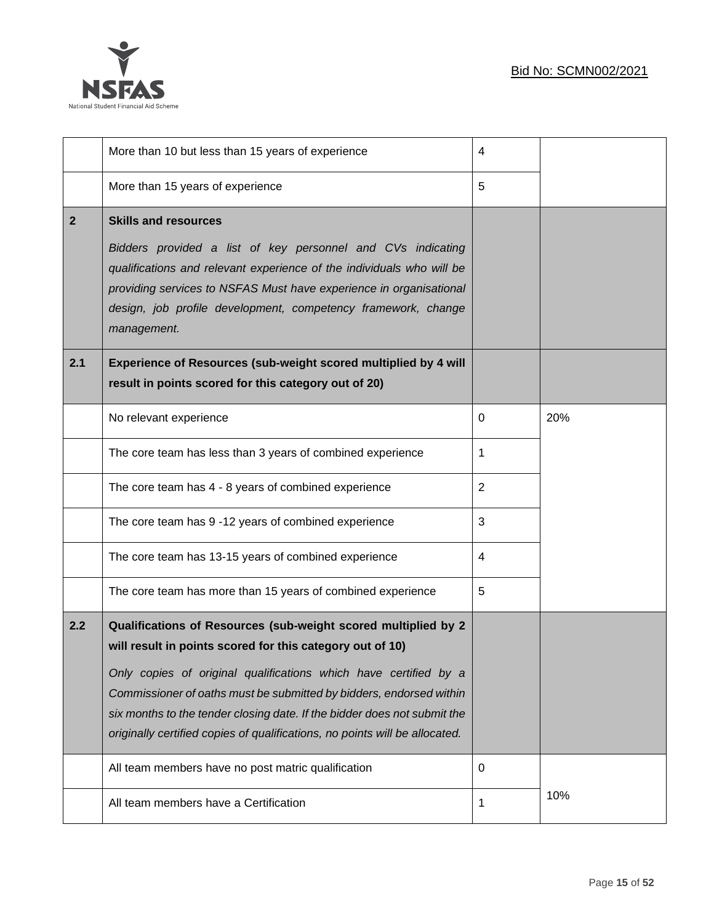

|              | More than 10 but less than 15 years of experience                                                                                                                                                                                                                                                                                                                                                                                                                                       | 4              |     |
|--------------|-----------------------------------------------------------------------------------------------------------------------------------------------------------------------------------------------------------------------------------------------------------------------------------------------------------------------------------------------------------------------------------------------------------------------------------------------------------------------------------------|----------------|-----|
|              | More than 15 years of experience                                                                                                                                                                                                                                                                                                                                                                                                                                                        | 5              |     |
| $\mathbf{2}$ | <b>Skills and resources</b><br>Bidders provided a list of key personnel and CVs indicating<br>qualifications and relevant experience of the individuals who will be<br>providing services to NSFAS Must have experience in organisational<br>design, job profile development, competency framework, change<br>management.                                                                                                                                                               |                |     |
| 2.1          | Experience of Resources (sub-weight scored multiplied by 4 will<br>result in points scored for this category out of 20)                                                                                                                                                                                                                                                                                                                                                                 |                |     |
|              | No relevant experience                                                                                                                                                                                                                                                                                                                                                                                                                                                                  | 0              | 20% |
|              | The core team has less than 3 years of combined experience                                                                                                                                                                                                                                                                                                                                                                                                                              | 1              |     |
|              | The core team has 4 - 8 years of combined experience                                                                                                                                                                                                                                                                                                                                                                                                                                    | $\overline{2}$ |     |
|              | The core team has 9 -12 years of combined experience                                                                                                                                                                                                                                                                                                                                                                                                                                    | 3              |     |
|              | The core team has 13-15 years of combined experience                                                                                                                                                                                                                                                                                                                                                                                                                                    | 4              |     |
|              | The core team has more than 15 years of combined experience                                                                                                                                                                                                                                                                                                                                                                                                                             | 5              |     |
| 2.2          | Qualifications of Resources (sub-weight scored multiplied by 2<br>will result in points scored for this category out of 10)<br>Only copies of original qualifications which have certified by a<br>Commissioner of oaths must be submitted by bidders, endorsed within<br>six months to the tender closing date. If the bidder does not submit the<br>originally certified copies of qualifications, no points will be allocated.<br>All team members have no post matric qualification | 0              |     |
|              | All team members have a Certification                                                                                                                                                                                                                                                                                                                                                                                                                                                   | 1              | 10% |
|              |                                                                                                                                                                                                                                                                                                                                                                                                                                                                                         |                |     |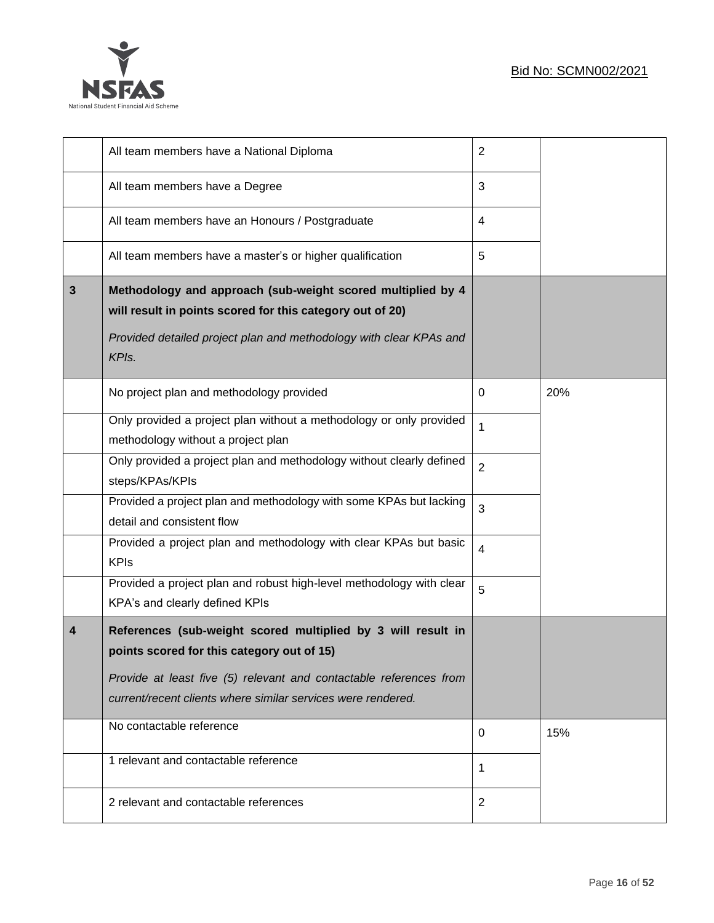

|              | All team members have a National Diploma                                                                                                                                                                                                         | $\overline{2}$          |     |
|--------------|--------------------------------------------------------------------------------------------------------------------------------------------------------------------------------------------------------------------------------------------------|-------------------------|-----|
|              | All team members have a Degree                                                                                                                                                                                                                   | 3                       |     |
|              | All team members have an Honours / Postgraduate                                                                                                                                                                                                  | $\overline{\mathbf{4}}$ |     |
|              | All team members have a master's or higher qualification                                                                                                                                                                                         | 5                       |     |
| $\mathbf{3}$ | Methodology and approach (sub-weight scored multiplied by 4<br>will result in points scored for this category out of 20)<br>Provided detailed project plan and methodology with clear KPAs and<br>KPIs.                                          |                         |     |
|              | No project plan and methodology provided                                                                                                                                                                                                         | 0                       | 20% |
|              | Only provided a project plan without a methodology or only provided<br>methodology without a project plan                                                                                                                                        | $\mathbf{1}$            |     |
|              | Only provided a project plan and methodology without clearly defined<br>steps/KPAs/KPIs                                                                                                                                                          | $\overline{2}$          |     |
|              | Provided a project plan and methodology with some KPAs but lacking<br>detail and consistent flow                                                                                                                                                 | 3                       |     |
|              | Provided a project plan and methodology with clear KPAs but basic<br><b>KPIs</b>                                                                                                                                                                 | $\overline{4}$          |     |
|              | Provided a project plan and robust high-level methodology with clear<br>KPA's and clearly defined KPIs                                                                                                                                           | 5                       |     |
| 4            | References (sub-weight scored multiplied by 3 will result in<br>points scored for this category out of 15)<br>Provide at least five (5) relevant and contactable references from<br>current/recent clients where similar services were rendered. |                         |     |
|              | No contactable reference                                                                                                                                                                                                                         | 0                       | 15% |
|              | 1 relevant and contactable reference                                                                                                                                                                                                             | 1                       |     |
|              | 2 relevant and contactable references                                                                                                                                                                                                            | $\overline{2}$          |     |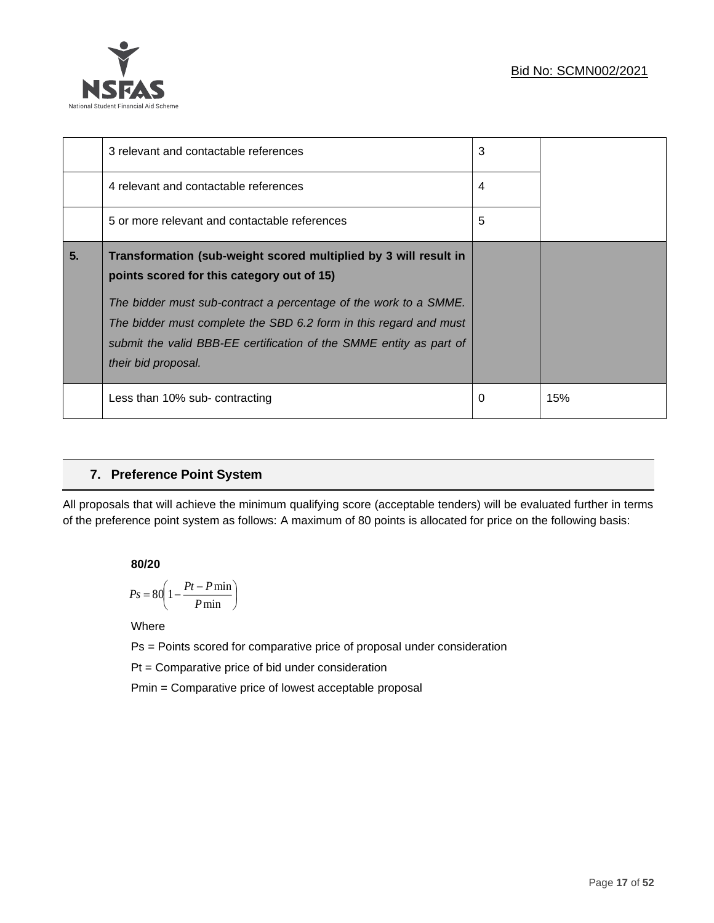

|                | 3 relevant and contactable references                                                                                                                                                                                                                                                                                                                 | 3 |     |
|----------------|-------------------------------------------------------------------------------------------------------------------------------------------------------------------------------------------------------------------------------------------------------------------------------------------------------------------------------------------------------|---|-----|
|                | 4 relevant and contactable references                                                                                                                                                                                                                                                                                                                 | 4 |     |
|                | 5 or more relevant and contactable references                                                                                                                                                                                                                                                                                                         | 5 |     |
| 5 <sub>1</sub> | Transformation (sub-weight scored multiplied by 3 will result in<br>points scored for this category out of 15)<br>The bidder must sub-contract a percentage of the work to a SMME.<br>The bidder must complete the SBD 6.2 form in this regard and must<br>submit the valid BBB-EE certification of the SMME entity as part of<br>their bid proposal. |   |     |
|                | Less than 10% sub- contracting                                                                                                                                                                                                                                                                                                                        | 0 | 15% |

### **7. Preference Point System**

All proposals that will achieve the minimum qualifying score (acceptable tenders) will be evaluated further in terms of the preference point system as follows: A maximum of 80 points is allocated for price on the following basis:

**80/20**

$$
Ps = 80 \left( 1 - \frac{Pt - P \min}{P \min} \right)
$$

Where

Ps = Points scored for comparative price of proposal under consideration

Pt = Comparative price of bid under consideration

Pmin = Comparative price of lowest acceptable proposal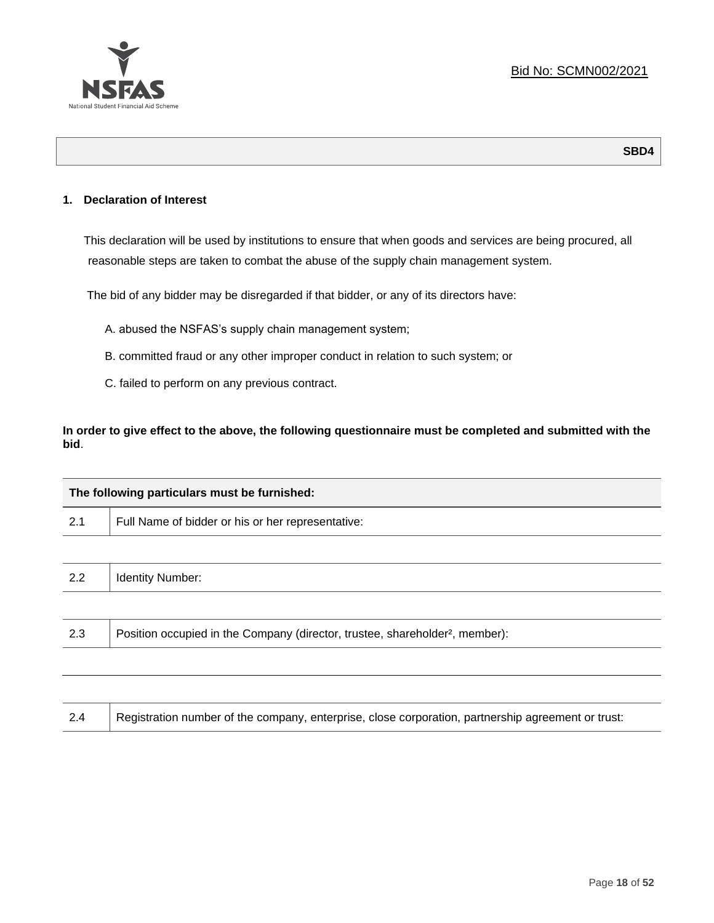

**SBD4**

### **1. Declaration of Interest**

This declaration will be used by institutions to ensure that when goods and services are being procured, all reasonable steps are taken to combat the abuse of the supply chain management system.

The bid of any bidder may be disregarded if that bidder, or any of its directors have:

- A. abused the NSFAS's supply chain management system;
- B. committed fraud or any other improper conduct in relation to such system; or
- C. failed to perform on any previous contract.

**In order to give effect to the above, the following questionnaire must be completed and submitted with the bid**.

| The following particulars must be furnished: |                                                                                          |  |
|----------------------------------------------|------------------------------------------------------------------------------------------|--|
| 2.1                                          | Full Name of bidder or his or her representative:                                        |  |
|                                              |                                                                                          |  |
| 2.2                                          | <b>Identity Number:</b>                                                                  |  |
|                                              |                                                                                          |  |
| 2.3                                          | Position occupied in the Company (director, trustee, shareholder <sup>2</sup> , member): |  |
|                                              |                                                                                          |  |

| Registration number of the company, enterprise, close corporation, partnership agreement or trust: |
|----------------------------------------------------------------------------------------------------|
|----------------------------------------------------------------------------------------------------|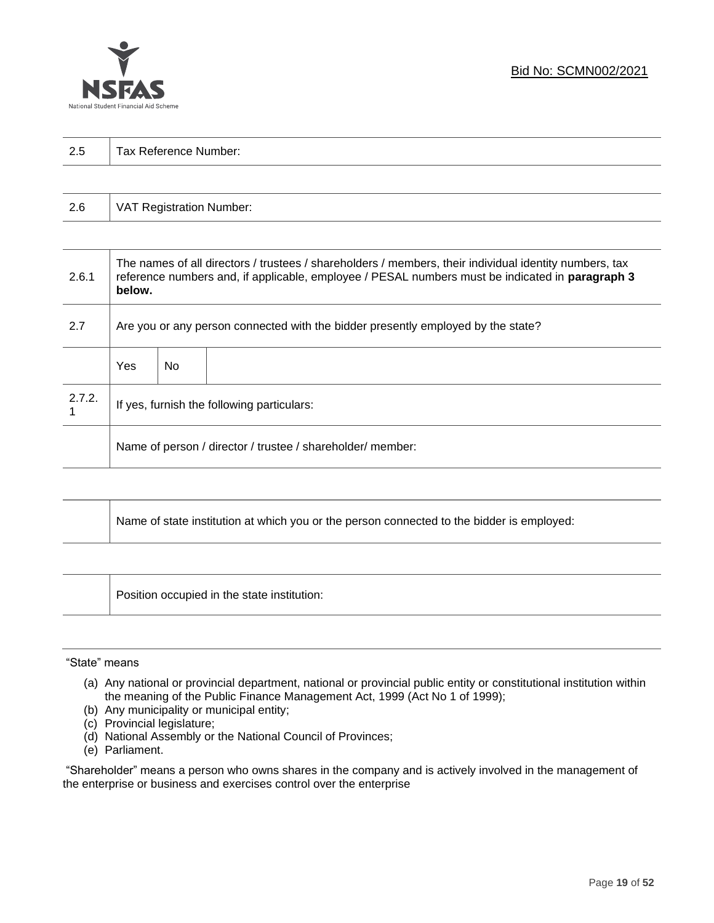

| 2.5 | Tax Reference Number: |
|-----|-----------------------|
|     |                       |

| 2.6 | VAT Registration Number: |
|-----|--------------------------|
|-----|--------------------------|

| 2.6.1  | The names of all directors / trustees / shareholders / members, their individual identity numbers, tax<br>reference numbers and, if applicable, employee / PESAL numbers must be indicated in paragraph 3<br>below. |     |  |  |
|--------|---------------------------------------------------------------------------------------------------------------------------------------------------------------------------------------------------------------------|-----|--|--|
| 2.7    | Are you or any person connected with the bidder presently employed by the state?                                                                                                                                    |     |  |  |
|        | Yes                                                                                                                                                                                                                 | No. |  |  |
| 2.7.2. | If yes, furnish the following particulars:                                                                                                                                                                          |     |  |  |
|        | Name of person / director / trustee / shareholder/ member:                                                                                                                                                          |     |  |  |

| Name of state institution at which you or the person connected to the bidder is employed: |
|-------------------------------------------------------------------------------------------|
|                                                                                           |

Position occupied in the state institution:

### "State" means

┱

- (a) Any national or provincial department, national or provincial public entity or constitutional institution within the meaning of the Public Finance Management Act, 1999 (Act No 1 of 1999);
- (b) Any municipality or municipal entity;
- (c) Provincial legislature;
- (d) National Assembly or the National Council of Provinces;
- (e) Parliament.

"Shareholder" means a person who owns shares in the company and is actively involved in the management of the enterprise or business and exercises control over the enterprise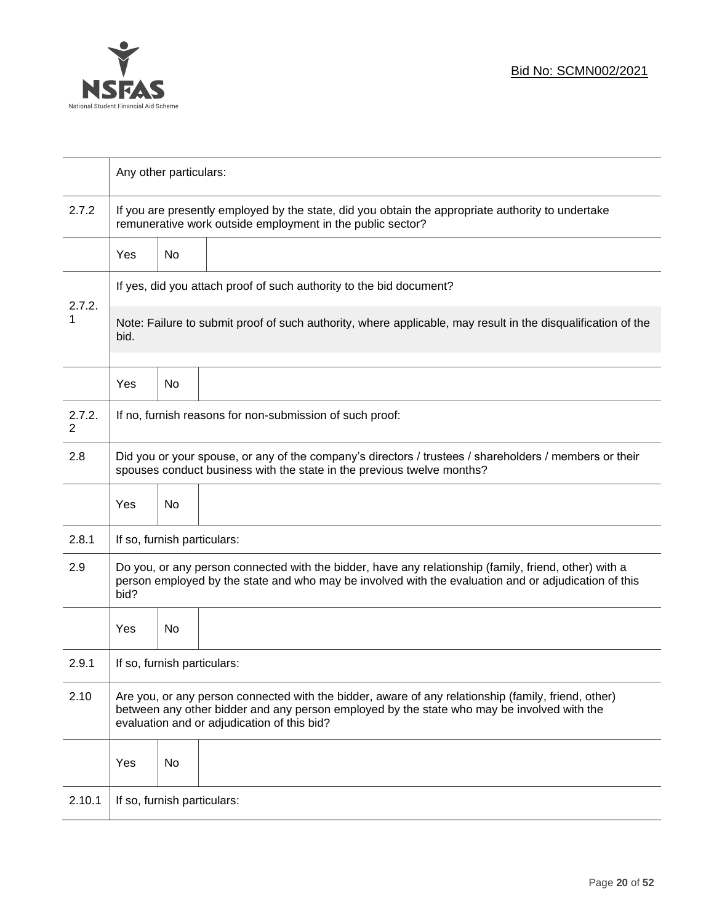

|             | Any other particulars:                                                                                                                                                                                                                           |    |  |  |  |
|-------------|--------------------------------------------------------------------------------------------------------------------------------------------------------------------------------------------------------------------------------------------------|----|--|--|--|
| 2.7.2       | If you are presently employed by the state, did you obtain the appropriate authority to undertake<br>remunerative work outside employment in the public sector?                                                                                  |    |  |  |  |
|             | <b>Yes</b>                                                                                                                                                                                                                                       | No |  |  |  |
|             | If yes, did you attach proof of such authority to the bid document?                                                                                                                                                                              |    |  |  |  |
| 2.7.2.<br>1 | Note: Failure to submit proof of such authority, where applicable, may result in the disqualification of the<br>bid.                                                                                                                             |    |  |  |  |
|             | Yes                                                                                                                                                                                                                                              | No |  |  |  |
| 2.7.2.<br>2 | If no, furnish reasons for non-submission of such proof:                                                                                                                                                                                         |    |  |  |  |
| 2.8         | Did you or your spouse, or any of the company's directors / trustees / shareholders / members or their<br>spouses conduct business with the state in the previous twelve months?                                                                 |    |  |  |  |
|             | Yes                                                                                                                                                                                                                                              | No |  |  |  |
| 2.8.1       | If so, furnish particulars:                                                                                                                                                                                                                      |    |  |  |  |
| 2.9         | Do you, or any person connected with the bidder, have any relationship (family, friend, other) with a<br>person employed by the state and who may be involved with the evaluation and or adjudication of this<br>bid?                            |    |  |  |  |
|             | Yes                                                                                                                                                                                                                                              | No |  |  |  |
| 2.9.1       | If so, furnish particulars:                                                                                                                                                                                                                      |    |  |  |  |
| 2.10        | Are you, or any person connected with the bidder, aware of any relationship (family, friend, other)<br>between any other bidder and any person employed by the state who may be involved with the<br>evaluation and or adjudication of this bid? |    |  |  |  |
|             | Yes                                                                                                                                                                                                                                              | No |  |  |  |
| 2.10.1      | If so, furnish particulars:                                                                                                                                                                                                                      |    |  |  |  |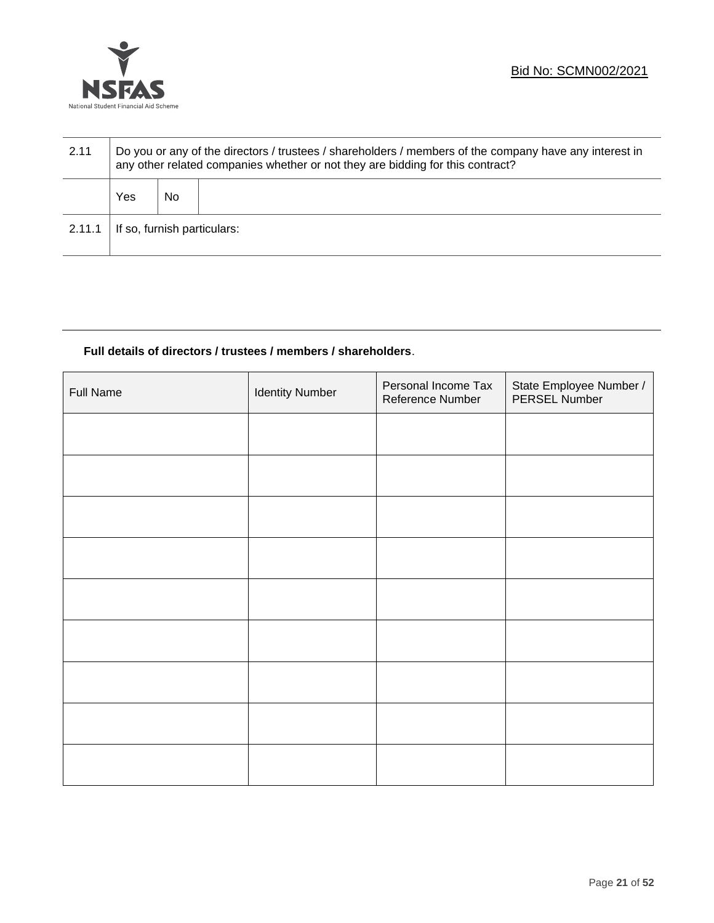

| 2.11   | Do you or any of the directors / trustees / shareholders / members of the company have any interest in<br>any other related companies whether or not they are bidding for this contract? |    |  |
|--------|------------------------------------------------------------------------------------------------------------------------------------------------------------------------------------------|----|--|
|        | Yes                                                                                                                                                                                      | No |  |
| 2.11.1 | If so, furnish particulars:                                                                                                                                                              |    |  |

### **Full details of directors / trustees / members / shareholders**.

| <b>Full Name</b> | <b>Identity Number</b> | Personal Income Tax<br>Reference Number | State Employee Number /<br>PERSEL Number |
|------------------|------------------------|-----------------------------------------|------------------------------------------|
|                  |                        |                                         |                                          |
|                  |                        |                                         |                                          |
|                  |                        |                                         |                                          |
|                  |                        |                                         |                                          |
|                  |                        |                                         |                                          |
|                  |                        |                                         |                                          |
|                  |                        |                                         |                                          |
|                  |                        |                                         |                                          |
|                  |                        |                                         |                                          |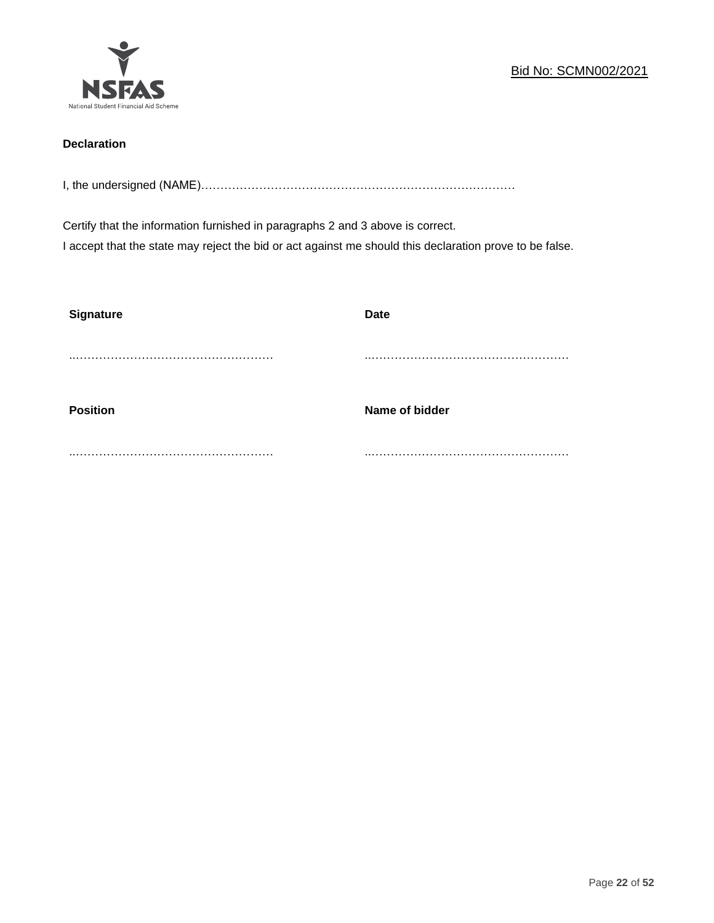

### **Declaration**

I, the undersigned (NAME)………………………………………………………………………

Certify that the information furnished in paragraphs 2 and 3 above is correct. I accept that the state may reject the bid or act against me should this declaration prove to be false.

| <b>Signature</b> | <b>Date</b>    |
|------------------|----------------|
|                  |                |
| <b>Position</b>  | Name of bidder |
|                  |                |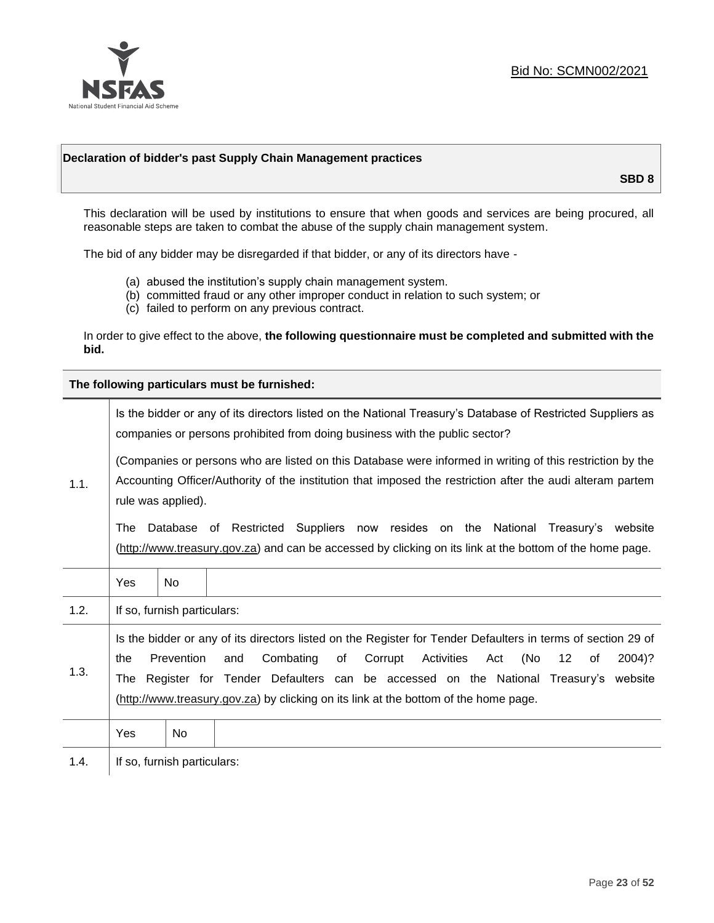

### **Declaration of bidder's past Supply Chain Management practices**

**SBD 8**

This declaration will be used by institutions to ensure that when goods and services are being procured, all reasonable steps are taken to combat the abuse of the supply chain management system.

The bid of any bidder may be disregarded if that bidder, or any of its directors have -

- (a) abused the institution's supply chain management system.
- (b) committed fraud or any other improper conduct in relation to such system; or
- (c) failed to perform on any previous contract.

In order to give effect to the above, **the following questionnaire must be completed and submitted with the bid.**

**The following particulars must be furnished:**

| 1.1. | Is the bidder or any of its directors listed on the National Treasury's Database of Restricted Suppliers as<br>companies or persons prohibited from doing business with the public sector?                                                                                                                                                                                                                |                             |                                                                                                                                                                                                |  |  |
|------|-----------------------------------------------------------------------------------------------------------------------------------------------------------------------------------------------------------------------------------------------------------------------------------------------------------------------------------------------------------------------------------------------------------|-----------------------------|------------------------------------------------------------------------------------------------------------------------------------------------------------------------------------------------|--|--|
|      | (Companies or persons who are listed on this Database were informed in writing of this restriction by the<br>Accounting Officer/Authority of the institution that imposed the restriction after the audi alteram partem<br>rule was applied).                                                                                                                                                             |                             |                                                                                                                                                                                                |  |  |
|      | The                                                                                                                                                                                                                                                                                                                                                                                                       |                             | Database of Restricted Suppliers now resides on the National<br>Treasury's website<br>(http://www.treasury.gov.za) and can be accessed by clicking on its link at the bottom of the home page. |  |  |
|      | Yes                                                                                                                                                                                                                                                                                                                                                                                                       | <b>No</b>                   |                                                                                                                                                                                                |  |  |
| 1.2. |                                                                                                                                                                                                                                                                                                                                                                                                           | If so, furnish particulars: |                                                                                                                                                                                                |  |  |
| 1.3. | Is the bidder or any of its directors listed on the Register for Tender Defaulters in terms of section 29 of<br>Prevention<br>Activities<br>(No<br>Combating<br>of<br>Corrupt<br>12<br>2004)?<br>the<br>and<br>Act<br>of<br>The Register for Tender Defaulters can be accessed on the National Treasury's website<br>(http://www.treasury.gov.za) by clicking on its link at the bottom of the home page. |                             |                                                                                                                                                                                                |  |  |
|      | Yes                                                                                                                                                                                                                                                                                                                                                                                                       | No.                         |                                                                                                                                                                                                |  |  |
| 1.4. |                                                                                                                                                                                                                                                                                                                                                                                                           | If so, furnish particulars: |                                                                                                                                                                                                |  |  |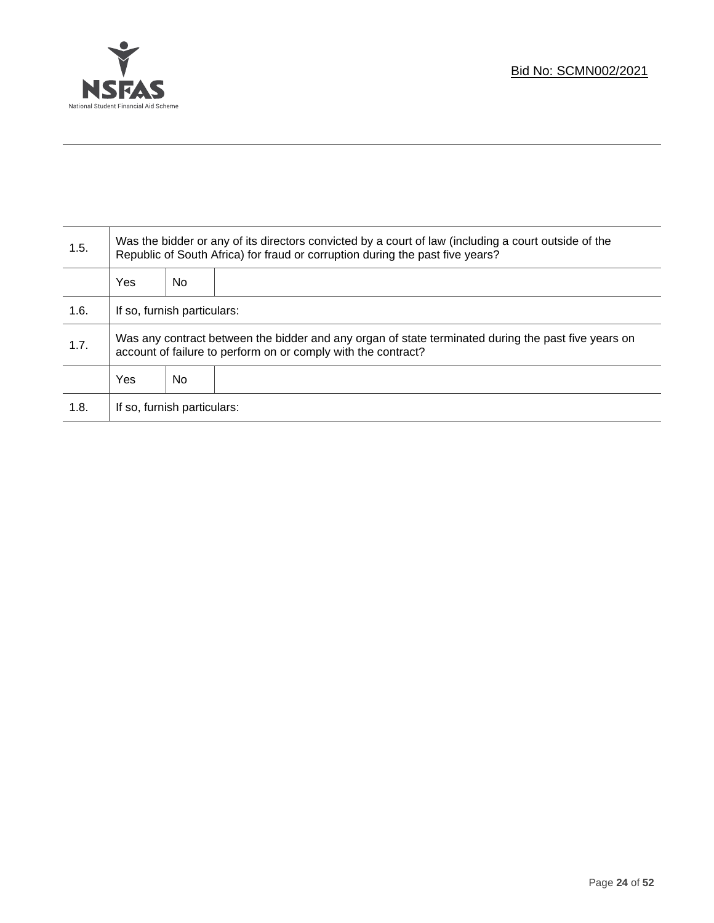

T

| 1.5. | Was the bidder or any of its directors convicted by a court of law (including a court outside of the<br>Republic of South Africa) for fraud or corruption during the past five years? |    |  |
|------|---------------------------------------------------------------------------------------------------------------------------------------------------------------------------------------|----|--|
|      | Yes                                                                                                                                                                                   | No |  |
| 1.6. | If so, furnish particulars:                                                                                                                                                           |    |  |
| 1.7. | Was any contract between the bidder and any organ of state terminated during the past five years on<br>account of failure to perform on or comply with the contract?                  |    |  |
|      | Yes                                                                                                                                                                                   | No |  |
| 1.8. | If so, furnish particulars:                                                                                                                                                           |    |  |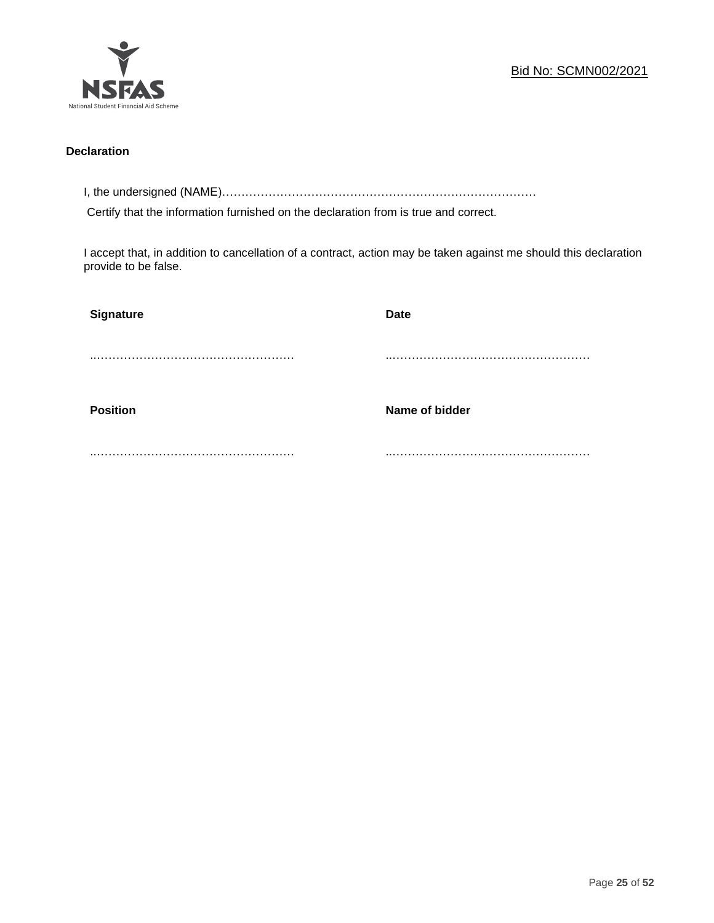

### **Declaration**

I, the undersigned (NAME)………………………………………………………………………

Certify that the information furnished on the declaration from is true and correct.

I accept that, in addition to cancellation of a contract, action may be taken against me should this declaration provide to be false.

| Signature       | <b>Date</b>    |
|-----------------|----------------|
|                 |                |
|                 |                |
| <b>Position</b> | Name of bidder |
|                 |                |
|                 |                |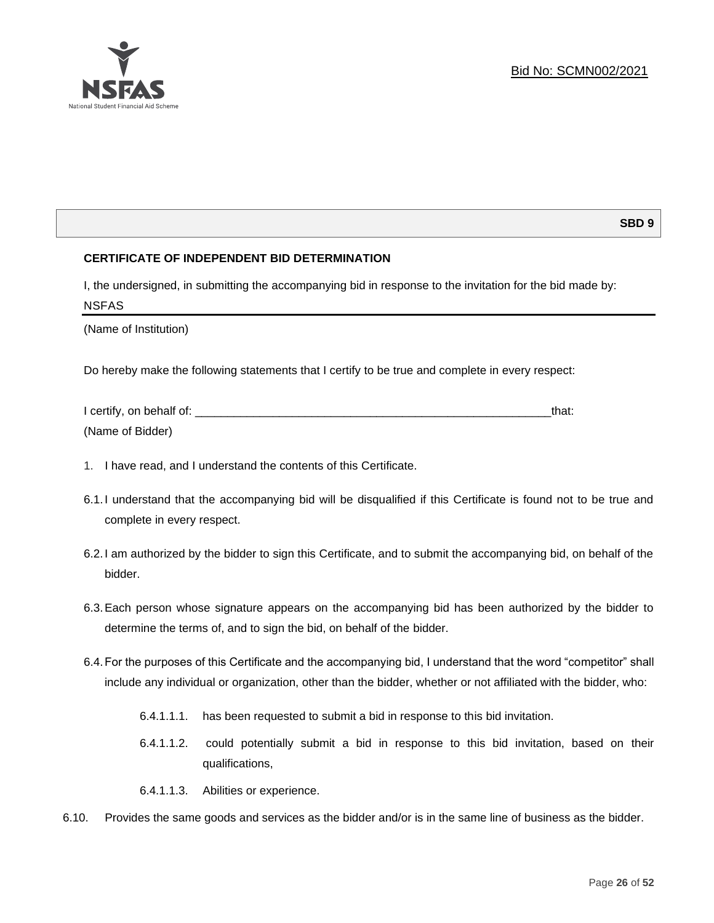

### **SBD 9**

### **CERTIFICATE OF INDEPENDENT BID DETERMINATION**

I, the undersigned, in submitting the accompanying bid in response to the invitation for the bid made by: NSFAS

(Name of Institution)

Do hereby make the following statements that I certify to be true and complete in every respect:

| I certify, on behalf of: |  |
|--------------------------|--|
| (Name of Bidder)         |  |

- 1. I have read, and I understand the contents of this Certificate.
- 6.1.I understand that the accompanying bid will be disqualified if this Certificate is found not to be true and complete in every respect.
- 6.2.I am authorized by the bidder to sign this Certificate, and to submit the accompanying bid, on behalf of the bidder.
- 6.3.Each person whose signature appears on the accompanying bid has been authorized by the bidder to determine the terms of, and to sign the bid, on behalf of the bidder.
- 6.4.For the purposes of this Certificate and the accompanying bid, I understand that the word "competitor" shall include any individual or organization, other than the bidder, whether or not affiliated with the bidder, who:
	- 6.4.1.1.1. has been requested to submit a bid in response to this bid invitation.
	- 6.4.1.1.2. could potentially submit a bid in response to this bid invitation, based on their qualifications,
	- 6.4.1.1.3. Abilities or experience.
- 6.10. Provides the same goods and services as the bidder and/or is in the same line of business as the bidder.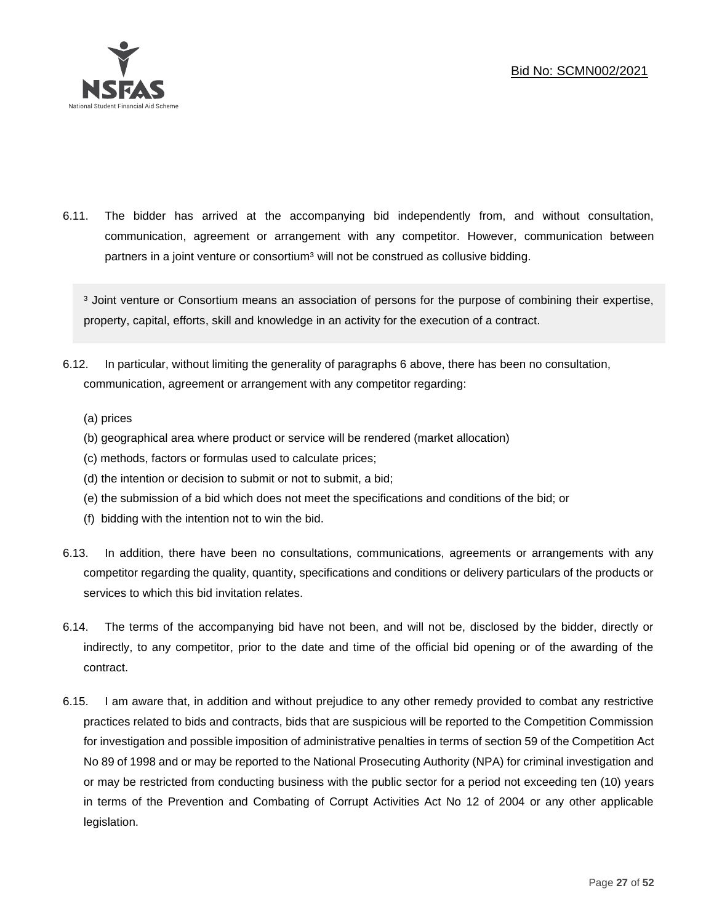

6.11. The bidder has arrived at the accompanying bid independently from, and without consultation, communication, agreement or arrangement with any competitor. However, communication between partners in a joint venture or consortium<sup>3</sup> will not be construed as collusive bidding.

<sup>3</sup> Joint venture or Consortium means an association of persons for the purpose of combining their expertise, property, capital, efforts, skill and knowledge in an activity for the execution of a contract.

- 6.12. In particular, without limiting the generality of paragraphs 6 above, there has been no consultation, communication, agreement or arrangement with any competitor regarding:
	- (a) prices
	- (b) geographical area where product or service will be rendered (market allocation)
	- (c) methods, factors or formulas used to calculate prices;
	- (d) the intention or decision to submit or not to submit, a bid;
	- (e) the submission of a bid which does not meet the specifications and conditions of the bid; or
	- (f) bidding with the intention not to win the bid.
- 6.13. In addition, there have been no consultations, communications, agreements or arrangements with any competitor regarding the quality, quantity, specifications and conditions or delivery particulars of the products or services to which this bid invitation relates.
- 6.14. The terms of the accompanying bid have not been, and will not be, disclosed by the bidder, directly or indirectly, to any competitor, prior to the date and time of the official bid opening or of the awarding of the contract.
- 6.15. I am aware that, in addition and without prejudice to any other remedy provided to combat any restrictive practices related to bids and contracts, bids that are suspicious will be reported to the Competition Commission for investigation and possible imposition of administrative penalties in terms of section 59 of the Competition Act No 89 of 1998 and or may be reported to the National Prosecuting Authority (NPA) for criminal investigation and or may be restricted from conducting business with the public sector for a period not exceeding ten (10) years in terms of the Prevention and Combating of Corrupt Activities Act No 12 of 2004 or any other applicable legislation.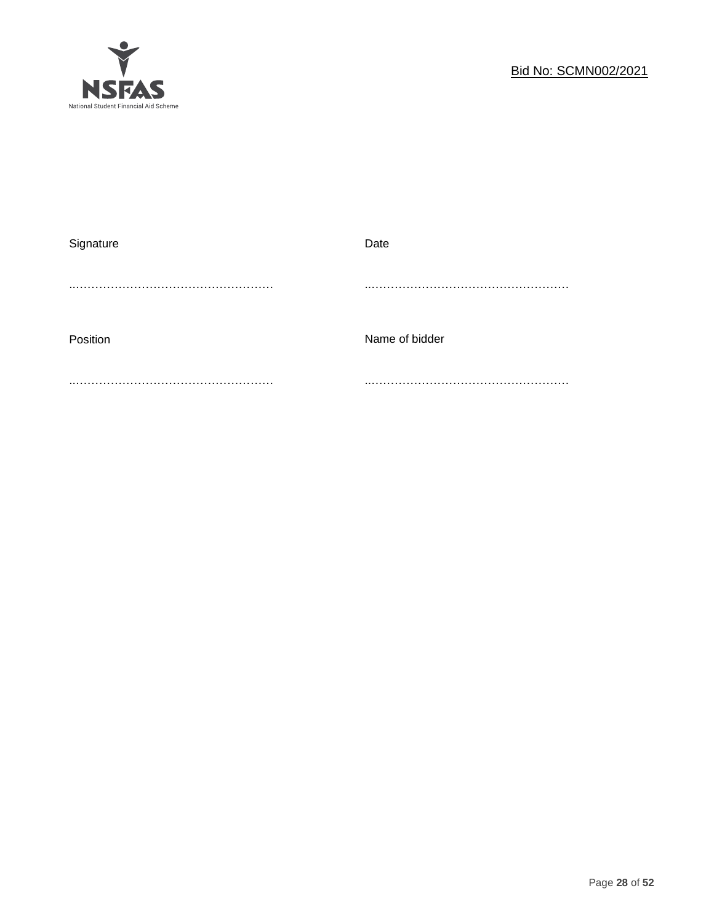

| Signature | Date           |
|-----------|----------------|
|           |                |
|           |                |
|           |                |
| Position  | Name of bidder |
|           |                |
|           |                |
|           |                |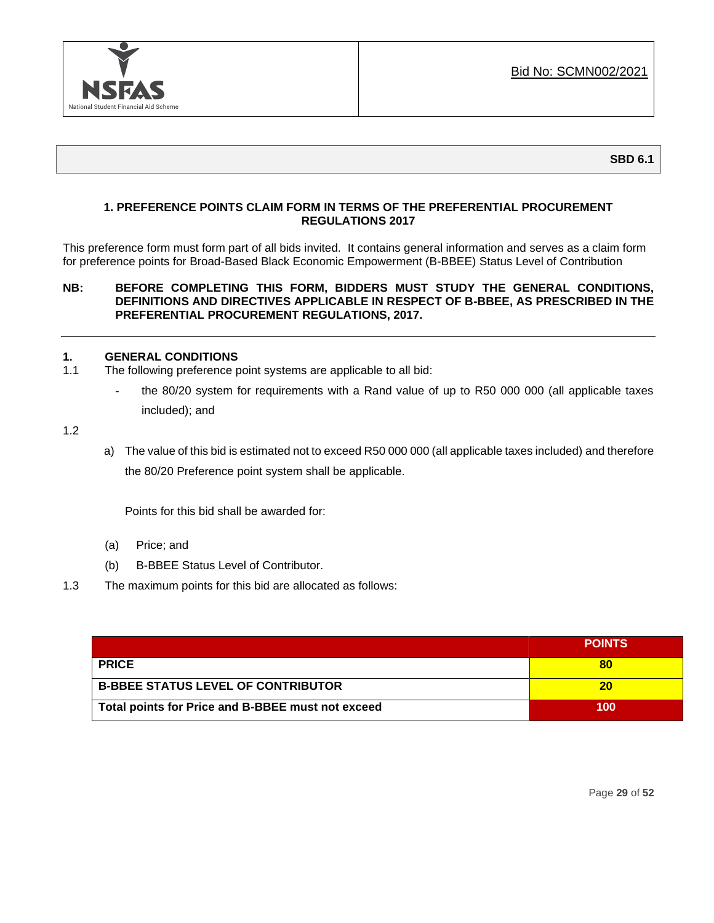

### **1. PREFERENCE POINTS CLAIM FORM IN TERMS OF THE PREFERENTIAL PROCUREMENT REGULATIONS 2017**

This preference form must form part of all bids invited. It contains general information and serves as a claim form for preference points for Broad-Based Black Economic Empowerment (B-BBEE) Status Level of Contribution

### **NB: BEFORE COMPLETING THIS FORM, BIDDERS MUST STUDY THE GENERAL CONDITIONS, DEFINITIONS AND DIRECTIVES APPLICABLE IN RESPECT OF B-BBEE, AS PRESCRIBED IN THE PREFERENTIAL PROCUREMENT REGULATIONS, 2017.**

### **1. GENERAL CONDITIONS**

- 1.1 The following preference point systems are applicable to all bid:
	- the 80/20 system for requirements with a Rand value of up to R50 000 000 (all applicable taxes included); and

1.2

a) The value of this bid is estimated not to exceed R50 000 000 (all applicable taxes included) and therefore the 80/20 Preference point system shall be applicable.

Points for this bid shall be awarded for:

- (a) Price; and
- (b) B-BBEE Status Level of Contributor.
- 1.3 The maximum points for this bid are allocated as follows:

|                                                   | <b>POINTS</b> |
|---------------------------------------------------|---------------|
| <b>PRICE</b>                                      | 80            |
| <b>B-BBEE STATUS LEVEL OF CONTRIBUTOR</b>         | 20            |
| Total points for Price and B-BBEE must not exceed | 100           |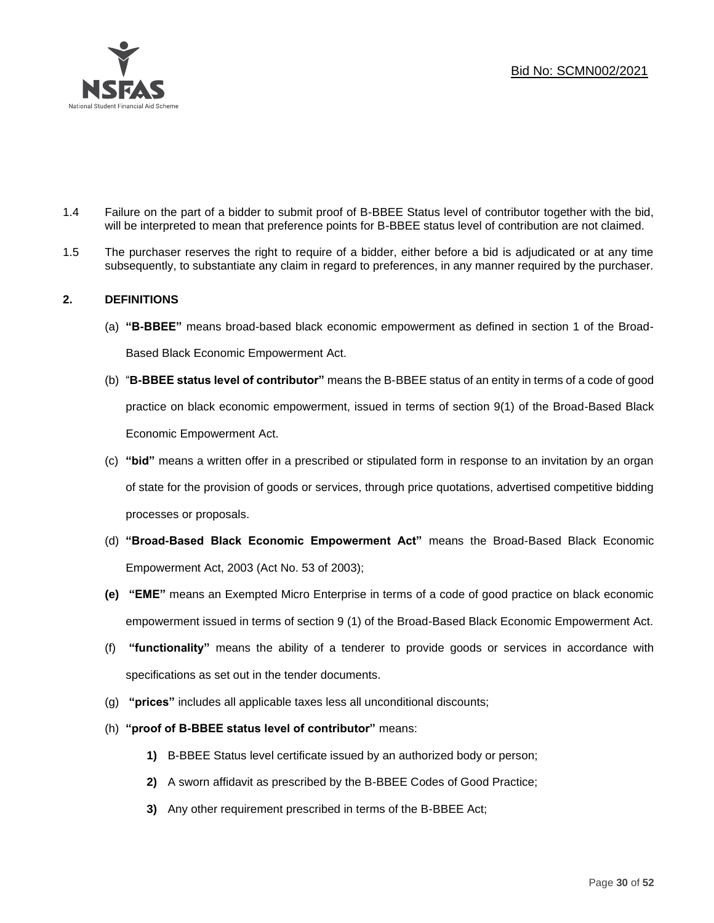

- 1.4 Failure on the part of a bidder to submit proof of B-BBEE Status level of contributor together with the bid, will be interpreted to mean that preference points for B-BBEE status level of contribution are not claimed.
- 1.5 The purchaser reserves the right to require of a bidder, either before a bid is adjudicated or at any time subsequently, to substantiate any claim in regard to preferences, in any manner required by the purchaser.

### **2. DEFINITIONS**

- (a) **"B-BBEE"** means broad-based black economic empowerment as defined in section 1 of the Broad-Based Black Economic Empowerment Act.
- (b) "**B-BBEE status level of contributor"** means the B-BBEE status of an entity in terms of a code of good practice on black economic empowerment, issued in terms of section 9(1) of the Broad-Based Black Economic Empowerment Act.
- (c) **"bid"** means a written offer in a prescribed or stipulated form in response to an invitation by an organ of state for the provision of goods or services, through price quotations, advertised competitive bidding processes or proposals.
- (d) **"Broad-Based Black Economic Empowerment Act"** means the Broad-Based Black Economic Empowerment Act, 2003 (Act No. 53 of 2003);
- **(e) "EME"** means an Exempted Micro Enterprise in terms of a code of good practice on black economic empowerment issued in terms of section 9 (1) of the Broad-Based Black Economic Empowerment Act.
- (f) **"functionality"** means the ability of a tenderer to provide goods or services in accordance with specifications as set out in the tender documents.
- (g) **"prices"** includes all applicable taxes less all unconditional discounts;
- (h) **"proof of B-BBEE status level of contributor"** means:
	- **1)** B-BBEE Status level certificate issued by an authorized body or person;
	- **2)** A sworn affidavit as prescribed by the B-BBEE Codes of Good Practice;
	- **3)** Any other requirement prescribed in terms of the B-BBEE Act;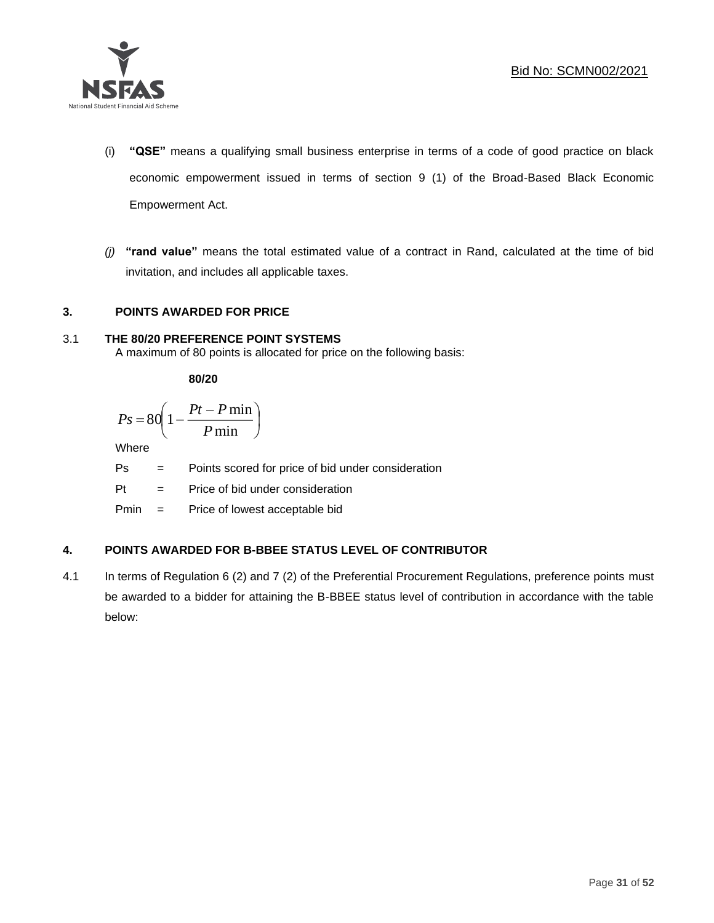

- (i) **"QSE"** means a qualifying small business enterprise in terms of a code of good practice on black economic empowerment issued in terms of section 9 (1) of the Broad-Based Black Economic Empowerment Act.
- *(j)* **"rand value"** means the total estimated value of a contract in Rand, calculated at the time of bid invitation, and includes all applicable taxes.

### **3. POINTS AWARDED FOR PRICE**

### 3.1 **THE 80/20 PREFERENCE POINT SYSTEMS**

A maximum of 80 points is allocated for price on the following basis:

**80/20**

$$
Ps = 80 \left( 1 - \frac{Pt - P \min}{P \min} \right)
$$

Where

Ps = Points scored for price of bid under consideration

l

 $Pt =$  Price of bid under consideration

Pmin = Price of lowest acceptable bid

### **4. POINTS AWARDED FOR B-BBEE STATUS LEVEL OF CONTRIBUTOR**

4.1 In terms of Regulation 6 (2) and 7 (2) of the Preferential Procurement Regulations, preference points must be awarded to a bidder for attaining the B-BBEE status level of contribution in accordance with the table below: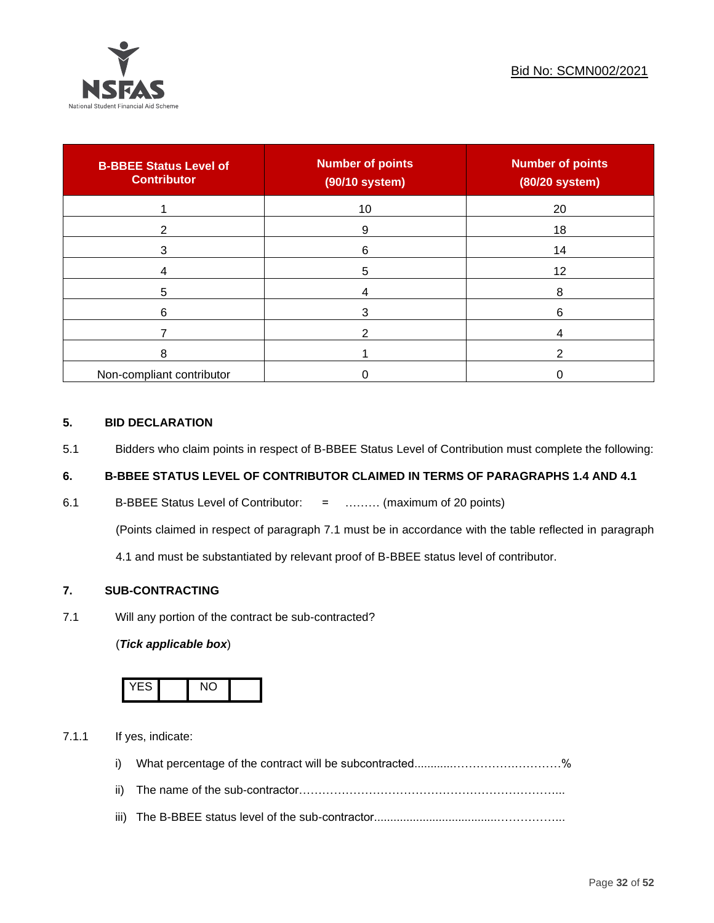

| <b>B-BBEE Status Level of</b><br><b>Contributor</b> | <b>Number of points</b><br>(90/10 system) | <b>Number of points</b><br>(80/20 system) |
|-----------------------------------------------------|-------------------------------------------|-------------------------------------------|
|                                                     | 10                                        | 20                                        |
| 2                                                   | 9                                         | 18                                        |
| 3                                                   | 6                                         | 14                                        |
|                                                     | 5                                         | 12                                        |
| 5                                                   |                                           | 8                                         |
| 6                                                   |                                           | 6                                         |
|                                                     |                                           |                                           |
| 8                                                   |                                           | ົ                                         |
| Non-compliant contributor                           |                                           |                                           |

### **5. BID DECLARATION**

5.1 Bidders who claim points in respect of B-BBEE Status Level of Contribution must complete the following:

### **6. B-BBEE STATUS LEVEL OF CONTRIBUTOR CLAIMED IN TERMS OF PARAGRAPHS 1.4 AND 4.1**

6.1 B-BBEE Status Level of Contributor: = ……… (maximum of 20 points)

(Points claimed in respect of paragraph 7.1 must be in accordance with the table reflected in paragraph

4.1 and must be substantiated by relevant proof of B-BBEE status level of contributor.

### **7. SUB-CONTRACTING**

7.1 Will any portion of the contract be sub-contracted?

### (*Tick applicable box*)



7.1.1 If yes, indicate:

- i) What percentage of the contract will be subcontracted............…………….…………%
- ii) The name of the sub-contractor…………………………………………………………...
- iii) The B-BBEE status level of the sub-contractor......................................……………...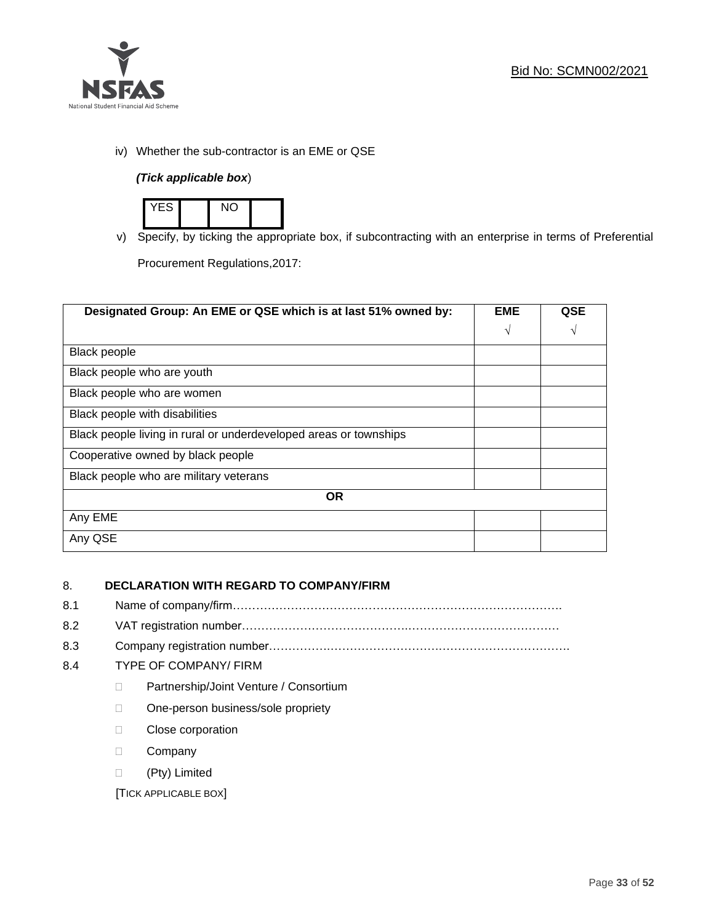

iv) Whether the sub-contractor is an EME or QSE

### *(Tick applicable box*)



v) Specify, by ticking the appropriate box, if subcontracting with an enterprise in terms of Preferential

Procurement Regulations,2017:

| Designated Group: An EME or QSE which is at last 51% owned by:    | <b>EME</b> | <b>QSE</b> |
|-------------------------------------------------------------------|------------|------------|
|                                                                   | $\sqrt{ }$ | V          |
| <b>Black people</b>                                               |            |            |
| Black people who are youth                                        |            |            |
| Black people who are women                                        |            |            |
| Black people with disabilities                                    |            |            |
| Black people living in rural or underdeveloped areas or townships |            |            |
| Cooperative owned by black people                                 |            |            |
| Black people who are military veterans                            |            |            |
| <b>OR</b>                                                         |            |            |
| Any EME                                                           |            |            |
| Any QSE                                                           |            |            |

### 8. **DECLARATION WITH REGARD TO COMPANY/FIRM**

- 8.1 Name of company/firm………………………………………………………………………….
- 8.2 VAT registration number…………………………………….…………………………………
- 8.3 Company registration number…………….……………………….…………………………….

### 8.4 TYPE OF COMPANY/ FIRM

- D Partnership/Joint Venture / Consortium
- □ One-person business/sole propriety
- D Close corporation
- D Company
- (Pty) Limited

[TICK APPLICABLE BOX]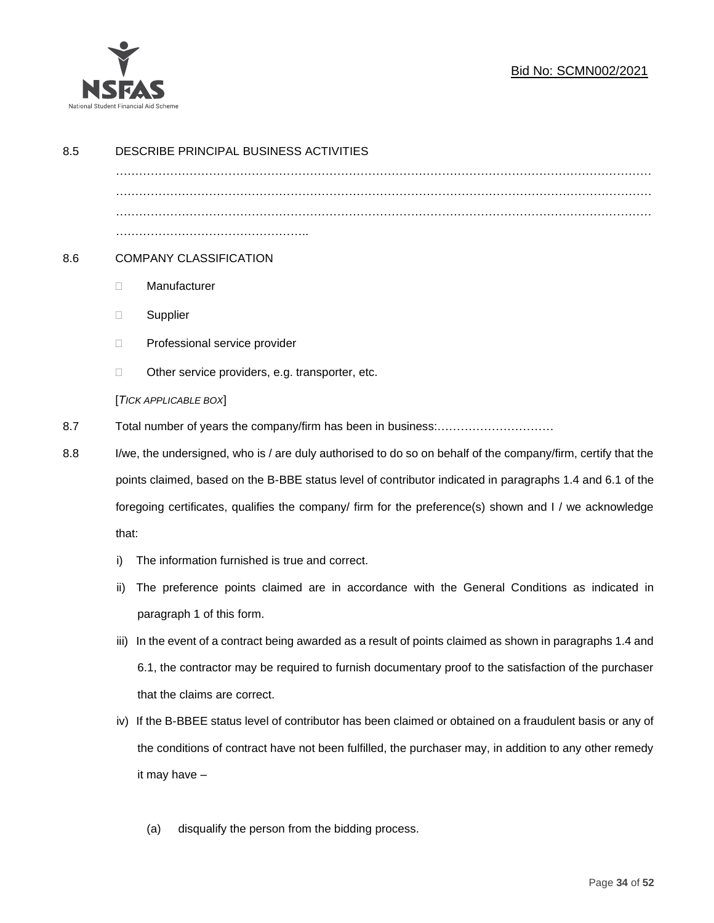

### Bid No: SCMN002/2021

| 8.5 | DESCRIBE PRINCIPAL BUSINESS ACTIVITIES                                                                       |                                                                                                        |  |
|-----|--------------------------------------------------------------------------------------------------------------|--------------------------------------------------------------------------------------------------------|--|
|     |                                                                                                              |                                                                                                        |  |
|     |                                                                                                              |                                                                                                        |  |
|     |                                                                                                              |                                                                                                        |  |
| 8.6 | <b>COMPANY CLASSIFICATION</b>                                                                                |                                                                                                        |  |
|     | Manufacturer<br>$\Box$                                                                                       |                                                                                                        |  |
|     | Supplier<br>$\Box$                                                                                           |                                                                                                        |  |
|     | Professional service provider<br>$\Box$                                                                      |                                                                                                        |  |
|     | Other service providers, e.g. transporter, etc.<br>$\Box$                                                    |                                                                                                        |  |
|     | [TICK APPLICABLE BOX]                                                                                        |                                                                                                        |  |
| 8.7 |                                                                                                              |                                                                                                        |  |
| 8.8 | I/we, the undersigned, who is / are duly authorised to do so on behalf of the company/firm, certify that the |                                                                                                        |  |
|     | points claimed, based on the B-BBE status level of contributor indicated in paragraphs 1.4 and 6.1 of the    |                                                                                                        |  |
|     | foregoing certificates, qualifies the company/ firm for the preference(s) shown and I / we acknowledge       |                                                                                                        |  |
|     | that:                                                                                                        |                                                                                                        |  |
|     | The information furnished is true and correct.<br>i)                                                         |                                                                                                        |  |
|     | ii)                                                                                                          | The preference points claimed are in accordance with the General Conditions as indicated in            |  |
|     | paragraph 1 of this form.                                                                                    |                                                                                                        |  |
|     | iii)                                                                                                         | In the event of a contract being awarded as a result of points claimed as shown in paragraphs 1.4 and  |  |
|     |                                                                                                              | 6.1, the contractor may be required to furnish documentary proof to the satisfaction of the purchaser  |  |
|     | that the claims are correct.                                                                                 |                                                                                                        |  |
|     | iv) If the B-BBEE status level of contributor has been claimed or obtained on a fraudulent basis or any of   |                                                                                                        |  |
|     |                                                                                                              | the conditions of contract have not been fulfilled, the purchaser may, in addition to any other remedy |  |
|     | it may have -                                                                                                |                                                                                                        |  |
|     |                                                                                                              |                                                                                                        |  |
|     | disqualify the person from the bidding process.<br>(a)                                                       |                                                                                                        |  |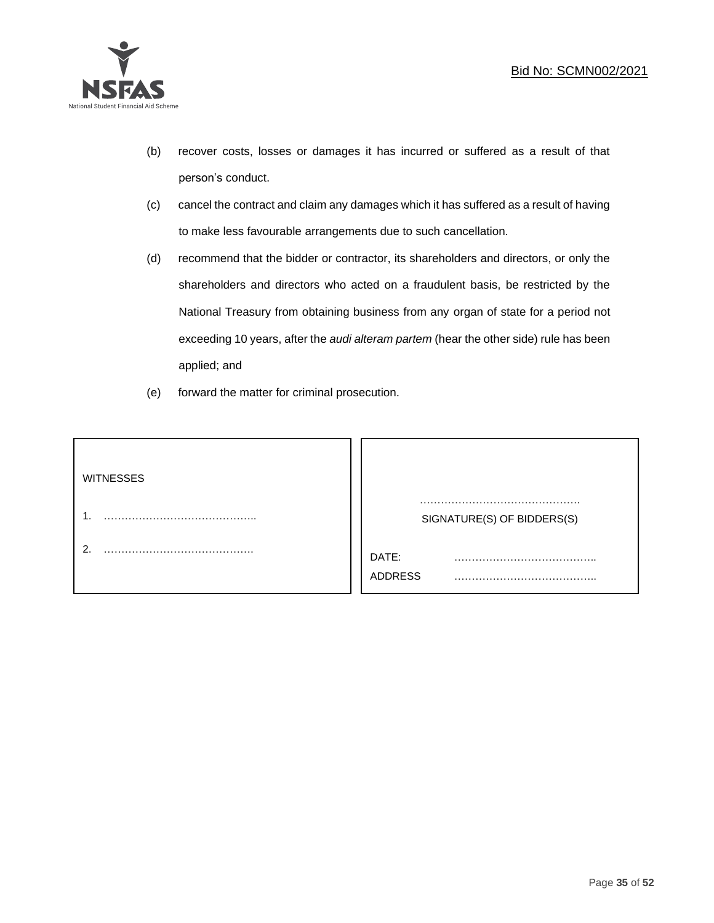

- (b) recover costs, losses or damages it has incurred or suffered as a result of that person's conduct.
- (c) cancel the contract and claim any damages which it has suffered as a result of having to make less favourable arrangements due to such cancellation.
- (d) recommend that the bidder or contractor, its shareholders and directors, or only the shareholders and directors who acted on a fraudulent basis, be restricted by the National Treasury from obtaining business from any organ of state for a period not exceeding 10 years, after the *audi alteram partem* (hear the other side) rule has been applied; and
- (e) forward the matter for criminal prosecution.

| <b>WITNESSES</b> |                              |
|------------------|------------------------------|
|                  | SIGNATURE(S) OF BIDDERS(S)   |
|                  | DATE:<br>.<br><b>ADDRESS</b> |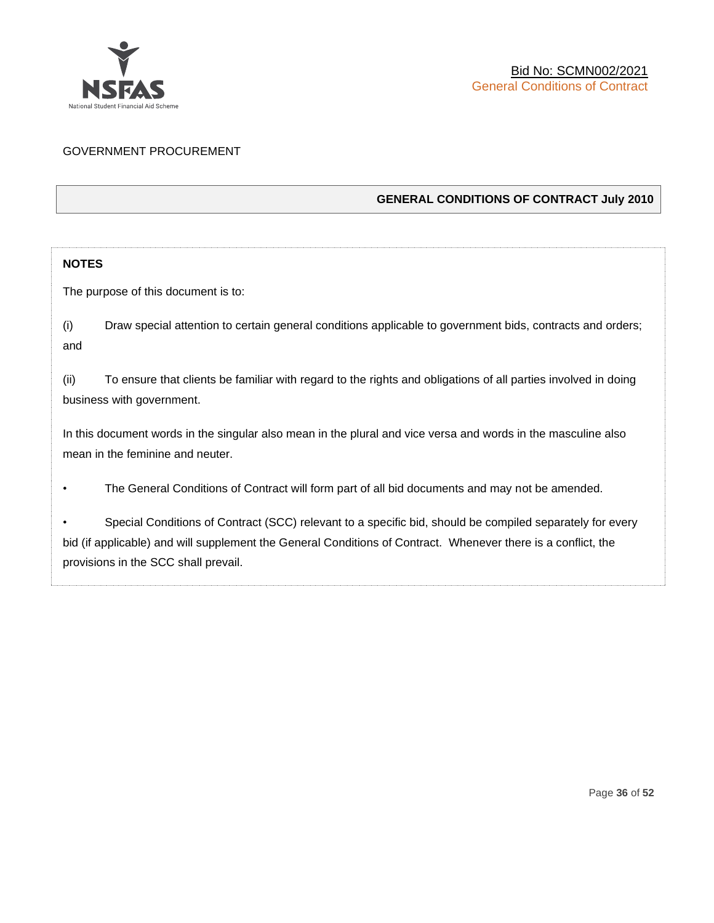

### GOVERNMENT PROCUREMENT

### **GENERAL CONDITIONS OF CONTRACT July 2010**

### **NOTES**

The purpose of this document is to:

(i) Draw special attention to certain general conditions applicable to government bids, contracts and orders; and

(ii) To ensure that clients be familiar with regard to the rights and obligations of all parties involved in doing business with government.

In this document words in the singular also mean in the plural and vice versa and words in the masculine also mean in the feminine and neuter.

• The General Conditions of Contract will form part of all bid documents and may not be amended.

Special Conditions of Contract (SCC) relevant to a specific bid, should be compiled separately for every bid (if applicable) and will supplement the General Conditions of Contract. Whenever there is a conflict, the provisions in the SCC shall prevail.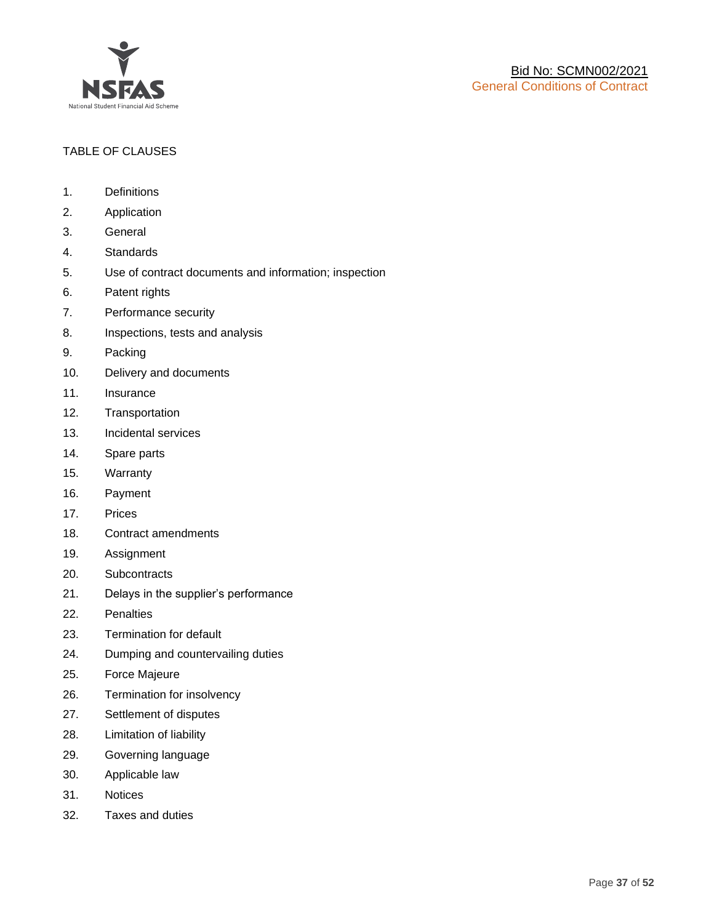

### TABLE OF CLAUSES

- 1. Definitions
- 2. Application
- 3. General
- 4. Standards
- 5. Use of contract documents and information; inspection
- 6. Patent rights
- 7. Performance security
- 8. Inspections, tests and analysis
- 9. Packing
- 10. Delivery and documents
- 11. Insurance
- 12. Transportation
- 13. Incidental services
- 14. Spare parts
- 15. Warranty
- 16. Payment
- 17. Prices
- 18. Contract amendments
- 19. Assignment
- 20. Subcontracts
- 21. Delays in the supplier's performance
- 22. Penalties
- 23. Termination for default
- 24. Dumping and countervailing duties
- 25. Force Majeure
- 26. Termination for insolvency
- 27. Settlement of disputes
- 28. Limitation of liability
- 29. Governing language
- 30. Applicable law
- 31. Notices
- 32. Taxes and duties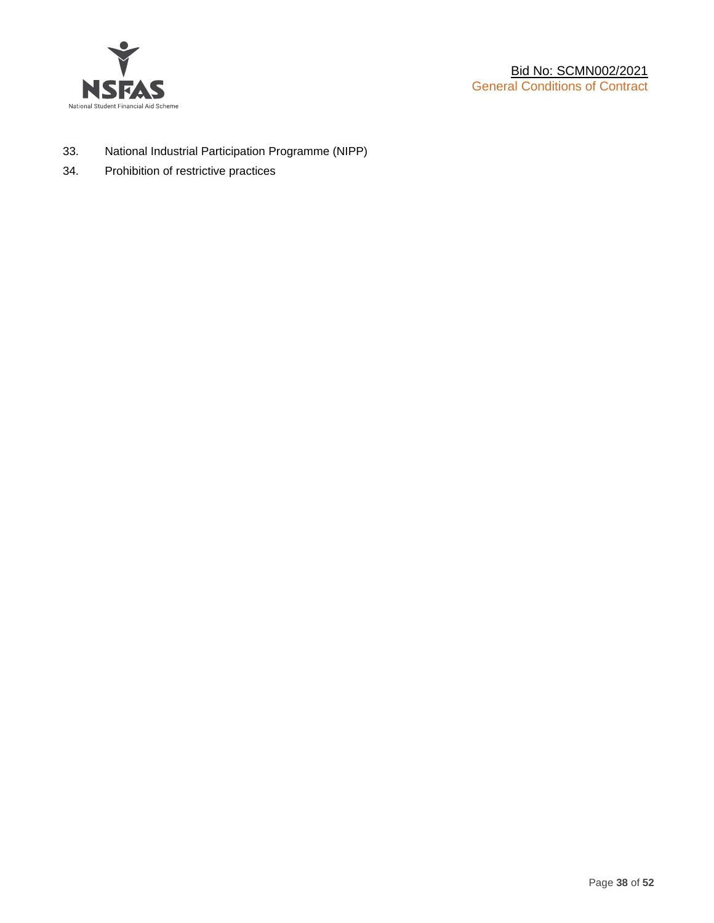

- 33. National Industrial Participation Programme (NIPP)
- 34. Prohibition of restrictive practices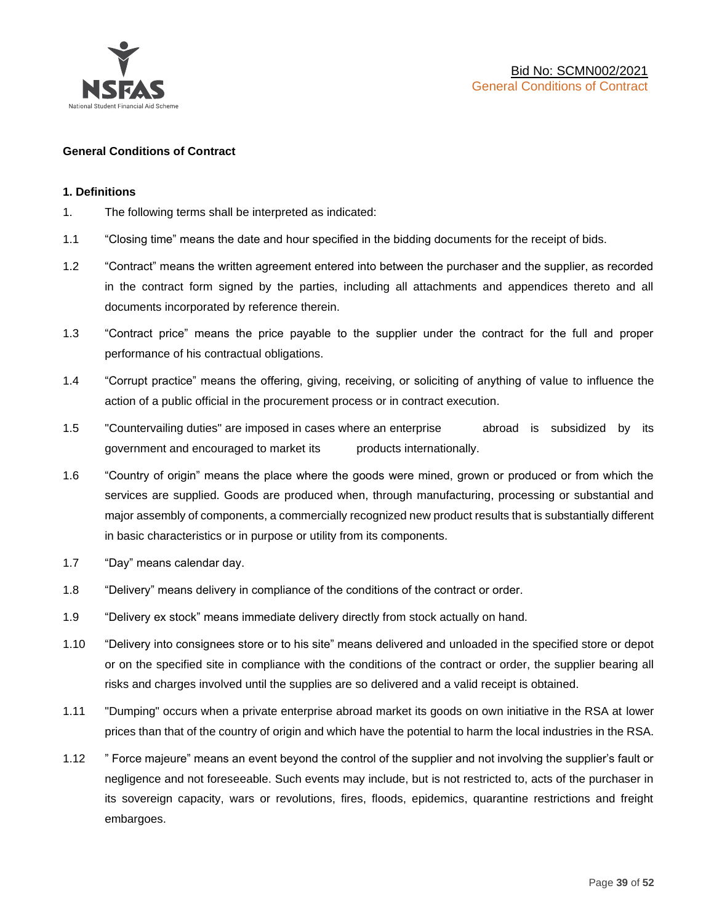

### **General Conditions of Contract**

### **1. Definitions**

- 1. The following terms shall be interpreted as indicated:
- 1.1 "Closing time" means the date and hour specified in the bidding documents for the receipt of bids.
- 1.2 "Contract" means the written agreement entered into between the purchaser and the supplier, as recorded in the contract form signed by the parties, including all attachments and appendices thereto and all documents incorporated by reference therein.
- 1.3 "Contract price" means the price payable to the supplier under the contract for the full and proper performance of his contractual obligations.
- 1.4 "Corrupt practice" means the offering, giving, receiving, or soliciting of anything of value to influence the action of a public official in the procurement process or in contract execution.
- 1.5 "Countervailing duties" are imposed in cases where an enterprise abroad is subsidized by its government and encouraged to market its products internationally.
- 1.6 "Country of origin" means the place where the goods were mined, grown or produced or from which the services are supplied. Goods are produced when, through manufacturing, processing or substantial and major assembly of components, a commercially recognized new product results that is substantially different in basic characteristics or in purpose or utility from its components.
- 1.7 "Day" means calendar day.
- 1.8 "Delivery" means delivery in compliance of the conditions of the contract or order.
- 1.9 "Delivery ex stock" means immediate delivery directly from stock actually on hand.
- 1.10 "Delivery into consignees store or to his site" means delivered and unloaded in the specified store or depot or on the specified site in compliance with the conditions of the contract or order, the supplier bearing all risks and charges involved until the supplies are so delivered and a valid receipt is obtained.
- 1.11 "Dumping" occurs when a private enterprise abroad market its goods on own initiative in the RSA at lower prices than that of the country of origin and which have the potential to harm the local industries in the RSA.
- 1.12 " Force majeure" means an event beyond the control of the supplier and not involving the supplier's fault or negligence and not foreseeable. Such events may include, but is not restricted to, acts of the purchaser in its sovereign capacity, wars or revolutions, fires, floods, epidemics, quarantine restrictions and freight embargoes.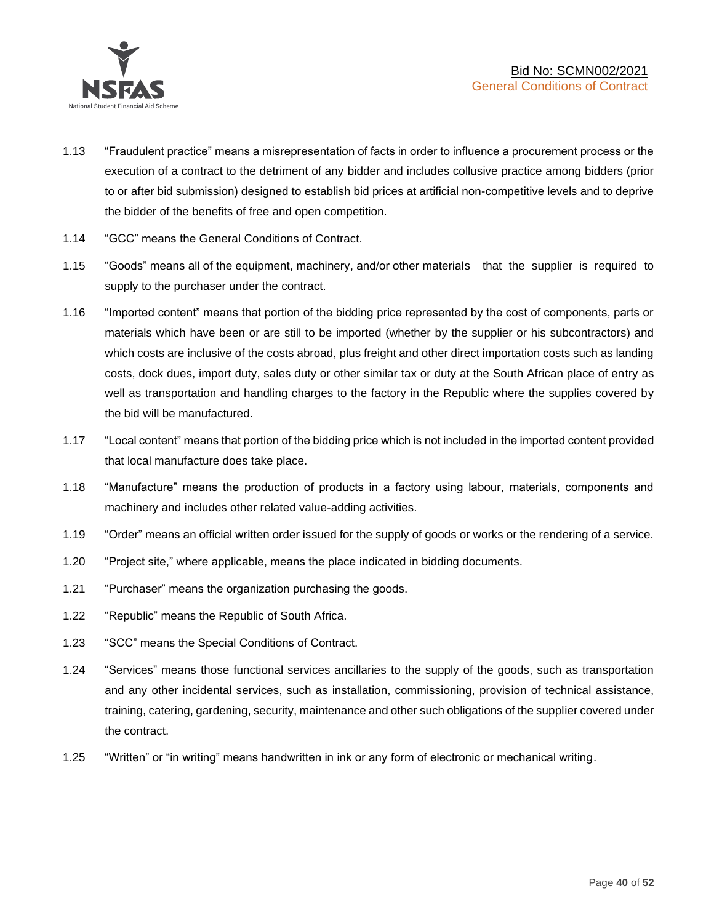

- 1.13 "Fraudulent practice" means a misrepresentation of facts in order to influence a procurement process or the execution of a contract to the detriment of any bidder and includes collusive practice among bidders (prior to or after bid submission) designed to establish bid prices at artificial non-competitive levels and to deprive the bidder of the benefits of free and open competition.
- 1.14 "GCC" means the General Conditions of Contract.
- 1.15 "Goods" means all of the equipment, machinery, and/or other materials that the supplier is required to supply to the purchaser under the contract.
- 1.16 "Imported content" means that portion of the bidding price represented by the cost of components, parts or materials which have been or are still to be imported (whether by the supplier or his subcontractors) and which costs are inclusive of the costs abroad, plus freight and other direct importation costs such as landing costs, dock dues, import duty, sales duty or other similar tax or duty at the South African place of entry as well as transportation and handling charges to the factory in the Republic where the supplies covered by the bid will be manufactured.
- 1.17 "Local content" means that portion of the bidding price which is not included in the imported content provided that local manufacture does take place.
- 1.18 "Manufacture" means the production of products in a factory using labour, materials, components and machinery and includes other related value-adding activities.
- 1.19 "Order" means an official written order issued for the supply of goods or works or the rendering of a service.
- 1.20 "Project site," where applicable, means the place indicated in bidding documents.
- 1.21 "Purchaser" means the organization purchasing the goods.
- 1.22 "Republic" means the Republic of South Africa.
- 1.23 "SCC" means the Special Conditions of Contract.
- 1.24 "Services" means those functional services ancillaries to the supply of the goods, such as transportation and any other incidental services, such as installation, commissioning, provision of technical assistance, training, catering, gardening, security, maintenance and other such obligations of the supplier covered under the contract.
- 1.25 "Written" or "in writing" means handwritten in ink or any form of electronic or mechanical writing.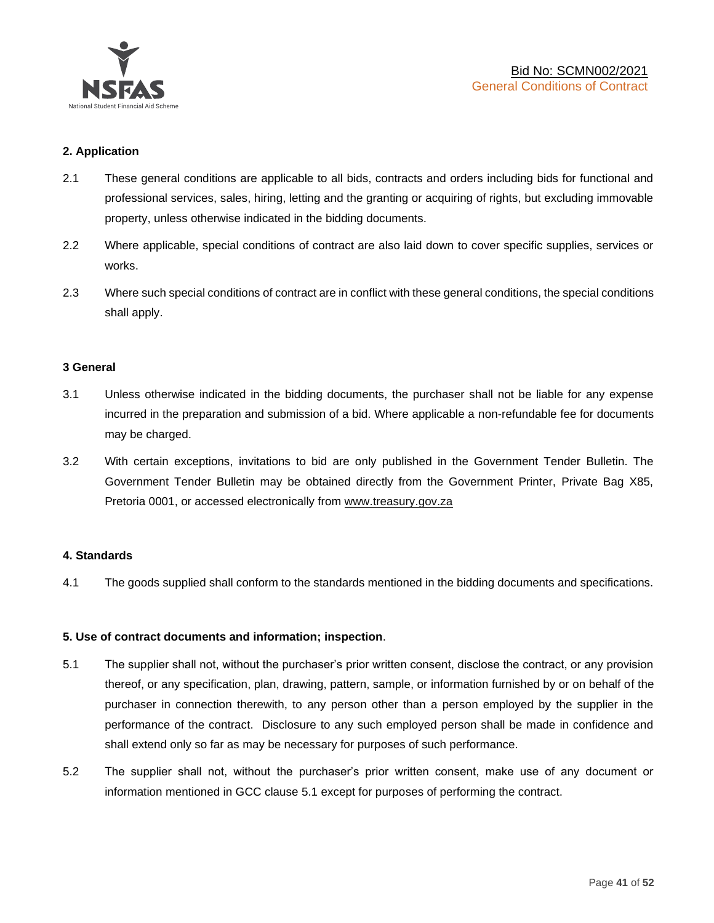

### **2. Application**

- 2.1 These general conditions are applicable to all bids, contracts and orders including bids for functional and professional services, sales, hiring, letting and the granting or acquiring of rights, but excluding immovable property, unless otherwise indicated in the bidding documents.
- 2.2 Where applicable, special conditions of contract are also laid down to cover specific supplies, services or works.
- 2.3 Where such special conditions of contract are in conflict with these general conditions, the special conditions shall apply.

### **3 General**

- 3.1 Unless otherwise indicated in the bidding documents, the purchaser shall not be liable for any expense incurred in the preparation and submission of a bid. Where applicable a non-refundable fee for documents may be charged.
- 3.2 With certain exceptions, invitations to bid are only published in the Government Tender Bulletin. The Government Tender Bulletin may be obtained directly from the Government Printer, Private Bag X85, Pretoria 0001, or accessed electronically from [www.treasury.gov.za](http://www.treasury.gov.za/)

### **4. Standards**

4.1 The goods supplied shall conform to the standards mentioned in the bidding documents and specifications.

### **5. Use of contract documents and information; inspection**.

- 5.1 The supplier shall not, without the purchaser's prior written consent, disclose the contract, or any provision thereof, or any specification, plan, drawing, pattern, sample, or information furnished by or on behalf of the purchaser in connection therewith, to any person other than a person employed by the supplier in the performance of the contract. Disclosure to any such employed person shall be made in confidence and shall extend only so far as may be necessary for purposes of such performance.
- 5.2 The supplier shall not, without the purchaser's prior written consent, make use of any document or information mentioned in GCC clause 5.1 except for purposes of performing the contract.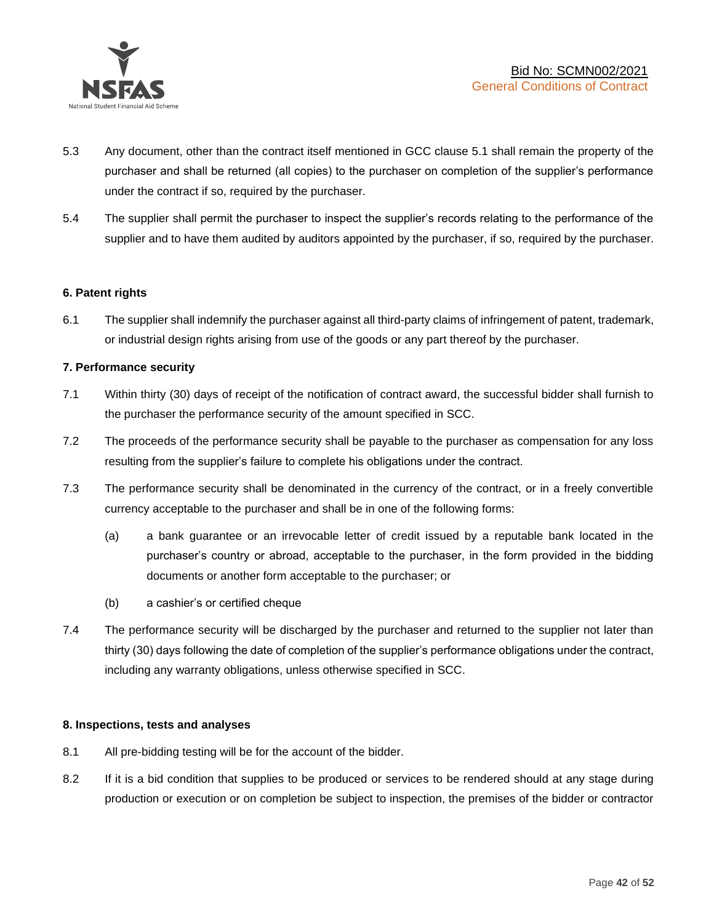

- 5.3 Any document, other than the contract itself mentioned in GCC clause 5.1 shall remain the property of the purchaser and shall be returned (all copies) to the purchaser on completion of the supplier's performance under the contract if so, required by the purchaser.
- 5.4 The supplier shall permit the purchaser to inspect the supplier's records relating to the performance of the supplier and to have them audited by auditors appointed by the purchaser, if so, required by the purchaser.

### **6. Patent rights**

6.1 The supplier shall indemnify the purchaser against all third-party claims of infringement of patent, trademark, or industrial design rights arising from use of the goods or any part thereof by the purchaser.

### **7. Performance security**

- 7.1 Within thirty (30) days of receipt of the notification of contract award, the successful bidder shall furnish to the purchaser the performance security of the amount specified in SCC.
- 7.2 The proceeds of the performance security shall be payable to the purchaser as compensation for any loss resulting from the supplier's failure to complete his obligations under the contract.
- 7.3 The performance security shall be denominated in the currency of the contract, or in a freely convertible currency acceptable to the purchaser and shall be in one of the following forms:
	- (a) a bank guarantee or an irrevocable letter of credit issued by a reputable bank located in the purchaser's country or abroad, acceptable to the purchaser, in the form provided in the bidding documents or another form acceptable to the purchaser; or
	- (b) a cashier's or certified cheque
- 7.4 The performance security will be discharged by the purchaser and returned to the supplier not later than thirty (30) days following the date of completion of the supplier's performance obligations under the contract, including any warranty obligations, unless otherwise specified in SCC.

### **8. Inspections, tests and analyses**

- 8.1 All pre-bidding testing will be for the account of the bidder.
- 8.2 If it is a bid condition that supplies to be produced or services to be rendered should at any stage during production or execution or on completion be subject to inspection, the premises of the bidder or contractor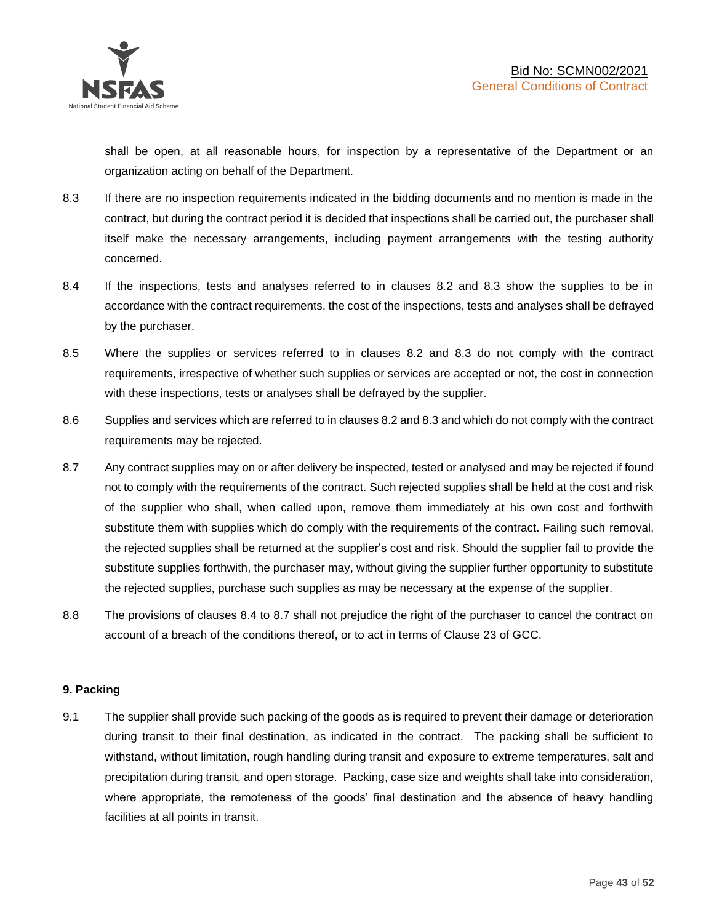shall be open, at all reasonable hours, for inspection by a representative of the Department or an organization acting on behalf of the Department.

- 8.3 If there are no inspection requirements indicated in the bidding documents and no mention is made in the contract, but during the contract period it is decided that inspections shall be carried out, the purchaser shall itself make the necessary arrangements, including payment arrangements with the testing authority concerned.
- 8.4 If the inspections, tests and analyses referred to in clauses 8.2 and 8.3 show the supplies to be in accordance with the contract requirements, the cost of the inspections, tests and analyses shall be defrayed by the purchaser.
- 8.5 Where the supplies or services referred to in clauses 8.2 and 8.3 do not comply with the contract requirements, irrespective of whether such supplies or services are accepted or not, the cost in connection with these inspections, tests or analyses shall be defrayed by the supplier.
- 8.6 Supplies and services which are referred to in clauses 8.2 and 8.3 and which do not comply with the contract requirements may be rejected.
- 8.7 Any contract supplies may on or after delivery be inspected, tested or analysed and may be rejected if found not to comply with the requirements of the contract. Such rejected supplies shall be held at the cost and risk of the supplier who shall, when called upon, remove them immediately at his own cost and forthwith substitute them with supplies which do comply with the requirements of the contract. Failing such removal, the rejected supplies shall be returned at the supplier's cost and risk. Should the supplier fail to provide the substitute supplies forthwith, the purchaser may, without giving the supplier further opportunity to substitute the rejected supplies, purchase such supplies as may be necessary at the expense of the supplier.
- 8.8 The provisions of clauses 8.4 to 8.7 shall not prejudice the right of the purchaser to cancel the contract on account of a breach of the conditions thereof, or to act in terms of Clause 23 of GCC.

### **9. Packing**

9.1 The supplier shall provide such packing of the goods as is required to prevent their damage or deterioration during transit to their final destination, as indicated in the contract. The packing shall be sufficient to withstand, without limitation, rough handling during transit and exposure to extreme temperatures, salt and precipitation during transit, and open storage. Packing, case size and weights shall take into consideration, where appropriate, the remoteness of the goods' final destination and the absence of heavy handling facilities at all points in transit.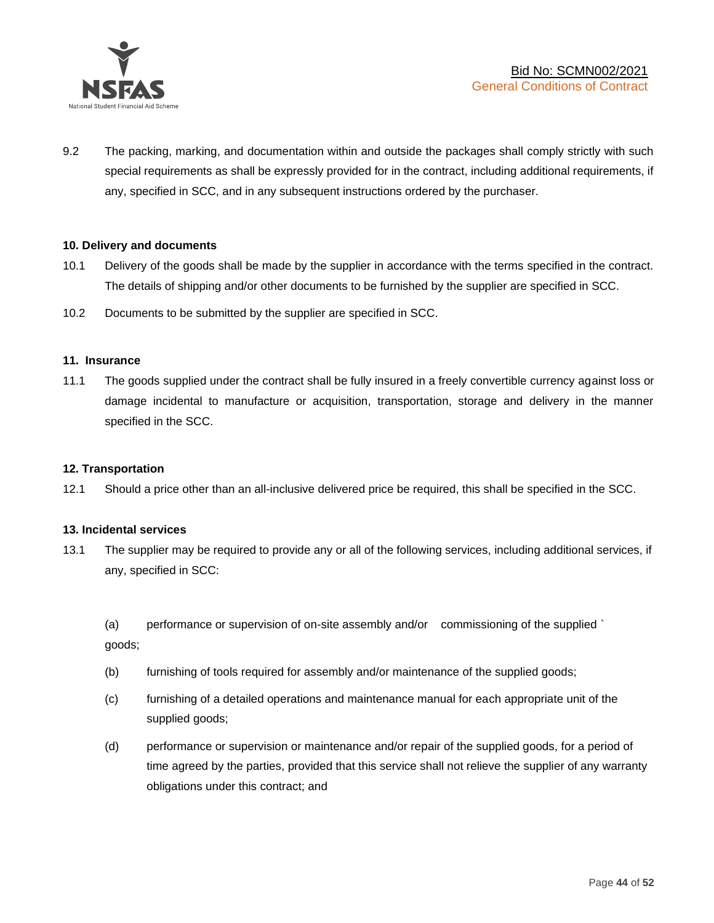

9.2 The packing, marking, and documentation within and outside the packages shall comply strictly with such special requirements as shall be expressly provided for in the contract, including additional requirements, if any, specified in SCC, and in any subsequent instructions ordered by the purchaser.

### **10. Delivery and documents**

- 10.1 Delivery of the goods shall be made by the supplier in accordance with the terms specified in the contract. The details of shipping and/or other documents to be furnished by the supplier are specified in SCC.
- 10.2 Documents to be submitted by the supplier are specified in SCC.

### **11. Insurance**

11.1 The goods supplied under the contract shall be fully insured in a freely convertible currency against loss or damage incidental to manufacture or acquisition, transportation, storage and delivery in the manner specified in the SCC.

### **12. Transportation**

12.1 Should a price other than an all-inclusive delivered price be required, this shall be specified in the SCC.

### **13. Incidental services**

13.1 The supplier may be required to provide any or all of the following services, including additional services, if any, specified in SCC:

(a) performance or supervision of on-site assembly and/or commissioning of the supplied ` goods;

- (b) furnishing of tools required for assembly and/or maintenance of the supplied goods;
- (c) furnishing of a detailed operations and maintenance manual for each appropriate unit of the supplied goods;
- (d) performance or supervision or maintenance and/or repair of the supplied goods, for a period of time agreed by the parties, provided that this service shall not relieve the supplier of any warranty obligations under this contract; and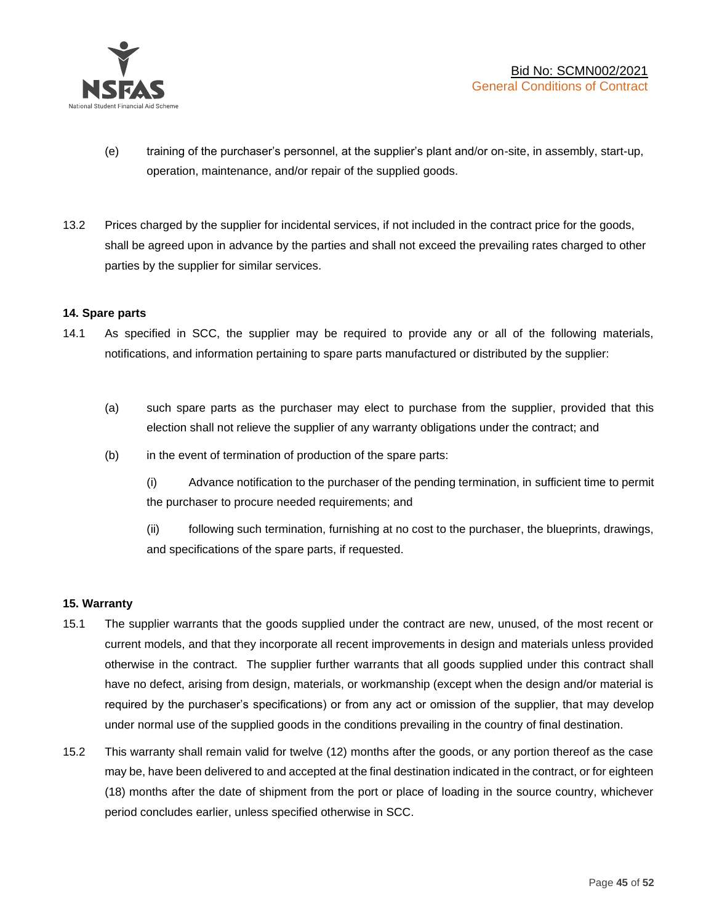

- (e) training of the purchaser's personnel, at the supplier's plant and/or on-site, in assembly, start-up, operation, maintenance, and/or repair of the supplied goods.
- 13.2 Prices charged by the supplier for incidental services, if not included in the contract price for the goods, shall be agreed upon in advance by the parties and shall not exceed the prevailing rates charged to other parties by the supplier for similar services.

### **14. Spare parts**

- 14.1 As specified in SCC, the supplier may be required to provide any or all of the following materials, notifications, and information pertaining to spare parts manufactured or distributed by the supplier:
	- (a) such spare parts as the purchaser may elect to purchase from the supplier, provided that this election shall not relieve the supplier of any warranty obligations under the contract; and
	- (b) in the event of termination of production of the spare parts:

(i) Advance notification to the purchaser of the pending termination, in sufficient time to permit the purchaser to procure needed requirements; and

(ii) following such termination, furnishing at no cost to the purchaser, the blueprints, drawings, and specifications of the spare parts, if requested.

### **15. Warranty**

- 15.1 The supplier warrants that the goods supplied under the contract are new, unused, of the most recent or current models, and that they incorporate all recent improvements in design and materials unless provided otherwise in the contract. The supplier further warrants that all goods supplied under this contract shall have no defect, arising from design, materials, or workmanship (except when the design and/or material is required by the purchaser's specifications) or from any act or omission of the supplier, that may develop under normal use of the supplied goods in the conditions prevailing in the country of final destination.
- 15.2 This warranty shall remain valid for twelve (12) months after the goods, or any portion thereof as the case may be, have been delivered to and accepted at the final destination indicated in the contract, or for eighteen (18) months after the date of shipment from the port or place of loading in the source country, whichever period concludes earlier, unless specified otherwise in SCC.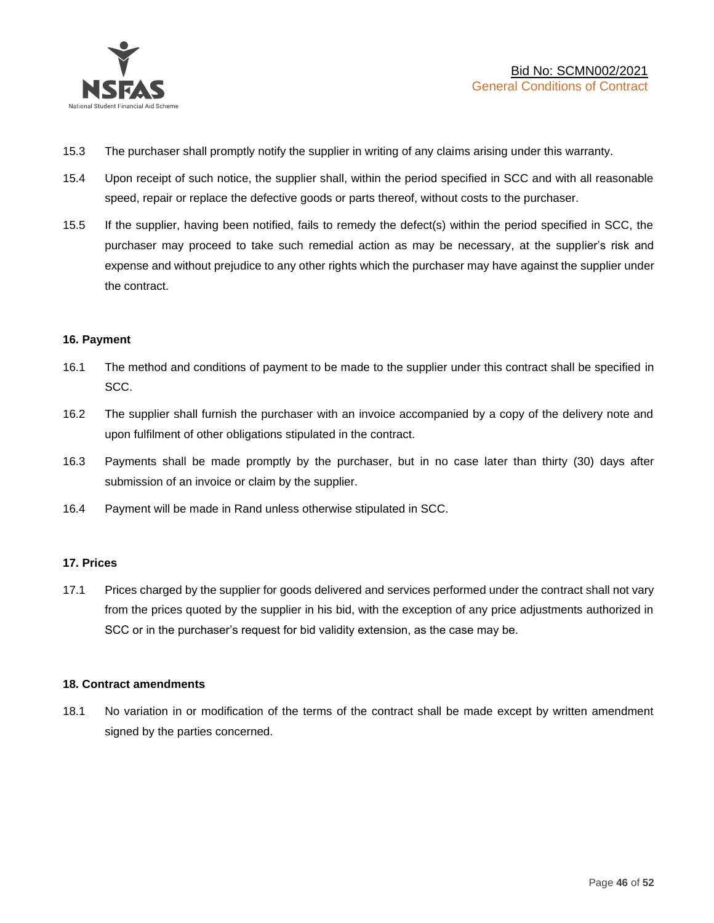

- 15.3 The purchaser shall promptly notify the supplier in writing of any claims arising under this warranty.
- 15.4 Upon receipt of such notice, the supplier shall, within the period specified in SCC and with all reasonable speed, repair or replace the defective goods or parts thereof, without costs to the purchaser.
- 15.5 If the supplier, having been notified, fails to remedy the defect(s) within the period specified in SCC, the purchaser may proceed to take such remedial action as may be necessary, at the supplier's risk and expense and without prejudice to any other rights which the purchaser may have against the supplier under the contract.

### **16. Payment**

- 16.1 The method and conditions of payment to be made to the supplier under this contract shall be specified in SCC.
- 16.2 The supplier shall furnish the purchaser with an invoice accompanied by a copy of the delivery note and upon fulfilment of other obligations stipulated in the contract.
- 16.3 Payments shall be made promptly by the purchaser, but in no case later than thirty (30) days after submission of an invoice or claim by the supplier.
- 16.4 Payment will be made in Rand unless otherwise stipulated in SCC.

### **17. Prices**

17.1 Prices charged by the supplier for goods delivered and services performed under the contract shall not vary from the prices quoted by the supplier in his bid, with the exception of any price adjustments authorized in SCC or in the purchaser's request for bid validity extension, as the case may be.

### **18. Contract amendments**

18.1 No variation in or modification of the terms of the contract shall be made except by written amendment signed by the parties concerned.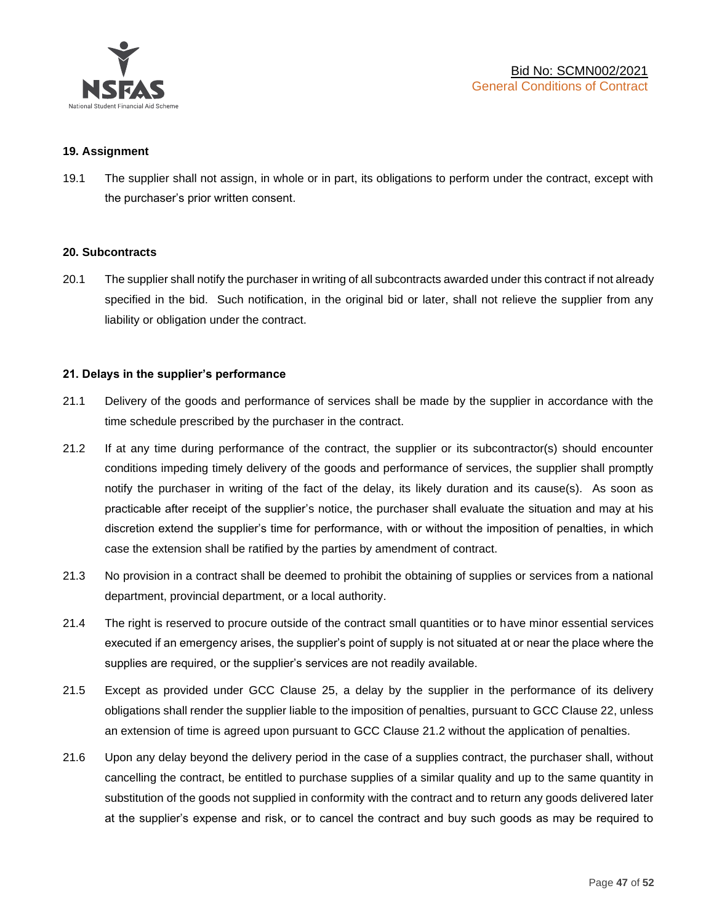

### **19. Assignment**

19.1 The supplier shall not assign, in whole or in part, its obligations to perform under the contract, except with the purchaser's prior written consent.

#### **20. Subcontracts**

20.1 The supplier shall notify the purchaser in writing of all subcontracts awarded under this contract if not already specified in the bid. Such notification, in the original bid or later, shall not relieve the supplier from any liability or obligation under the contract.

### **21. Delays in the supplier's performance**

- 21.1 Delivery of the goods and performance of services shall be made by the supplier in accordance with the time schedule prescribed by the purchaser in the contract.
- 21.2 If at any time during performance of the contract, the supplier or its subcontractor(s) should encounter conditions impeding timely delivery of the goods and performance of services, the supplier shall promptly notify the purchaser in writing of the fact of the delay, its likely duration and its cause(s). As soon as practicable after receipt of the supplier's notice, the purchaser shall evaluate the situation and may at his discretion extend the supplier's time for performance, with or without the imposition of penalties, in which case the extension shall be ratified by the parties by amendment of contract.
- 21.3 No provision in a contract shall be deemed to prohibit the obtaining of supplies or services from a national department, provincial department, or a local authority.
- 21.4 The right is reserved to procure outside of the contract small quantities or to have minor essential services executed if an emergency arises, the supplier's point of supply is not situated at or near the place where the supplies are required, or the supplier's services are not readily available.
- 21.5 Except as provided under GCC Clause 25, a delay by the supplier in the performance of its delivery obligations shall render the supplier liable to the imposition of penalties, pursuant to GCC Clause 22, unless an extension of time is agreed upon pursuant to GCC Clause 21.2 without the application of penalties.
- 21.6 Upon any delay beyond the delivery period in the case of a supplies contract, the purchaser shall, without cancelling the contract, be entitled to purchase supplies of a similar quality and up to the same quantity in substitution of the goods not supplied in conformity with the contract and to return any goods delivered later at the supplier's expense and risk, or to cancel the contract and buy such goods as may be required to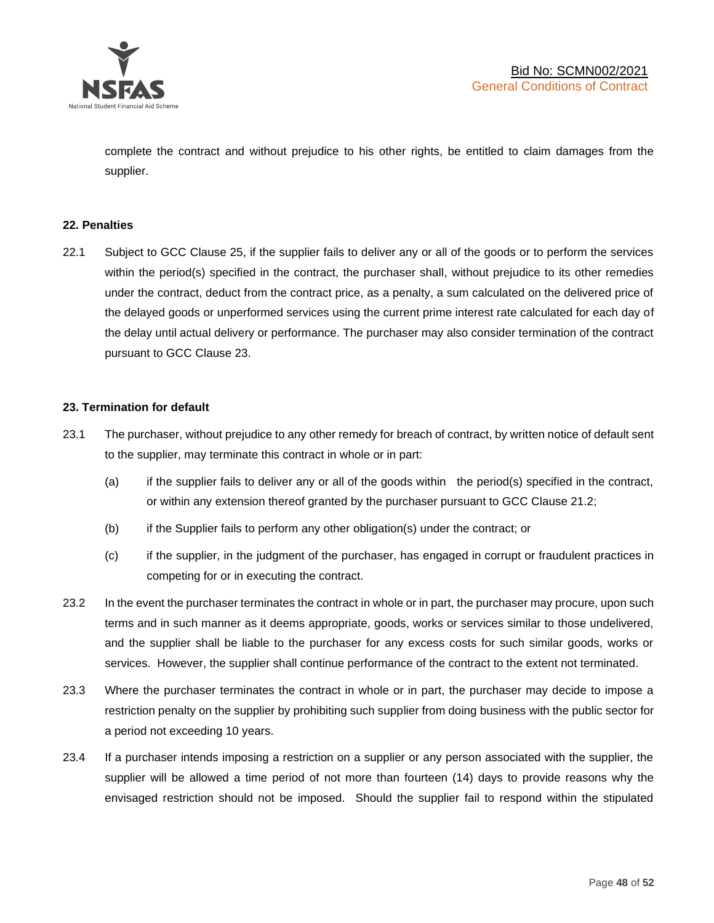

complete the contract and without prejudice to his other rights, be entitled to claim damages from the supplier.

### **22. Penalties**

22.1 Subject to GCC Clause 25, if the supplier fails to deliver any or all of the goods or to perform the services within the period(s) specified in the contract, the purchaser shall, without prejudice to its other remedies under the contract, deduct from the contract price, as a penalty, a sum calculated on the delivered price of the delayed goods or unperformed services using the current prime interest rate calculated for each day of the delay until actual delivery or performance. The purchaser may also consider termination of the contract pursuant to GCC Clause 23.

### **23. Termination for default**

- 23.1 The purchaser, without prejudice to any other remedy for breach of contract, by written notice of default sent to the supplier, may terminate this contract in whole or in part:
	- (a) if the supplier fails to deliver any or all of the goods within the period(s) specified in the contract, or within any extension thereof granted by the purchaser pursuant to GCC Clause 21.2;
	- (b) if the Supplier fails to perform any other obligation(s) under the contract; or
	- (c) if the supplier, in the judgment of the purchaser, has engaged in corrupt or fraudulent practices in competing for or in executing the contract.
- 23.2 In the event the purchaser terminates the contract in whole or in part, the purchaser may procure, upon such terms and in such manner as it deems appropriate, goods, works or services similar to those undelivered, and the supplier shall be liable to the purchaser for any excess costs for such similar goods, works or services. However, the supplier shall continue performance of the contract to the extent not terminated.
- 23.3 Where the purchaser terminates the contract in whole or in part, the purchaser may decide to impose a restriction penalty on the supplier by prohibiting such supplier from doing business with the public sector for a period not exceeding 10 years.
- 23.4 If a purchaser intends imposing a restriction on a supplier or any person associated with the supplier, the supplier will be allowed a time period of not more than fourteen (14) days to provide reasons why the envisaged restriction should not be imposed. Should the supplier fail to respond within the stipulated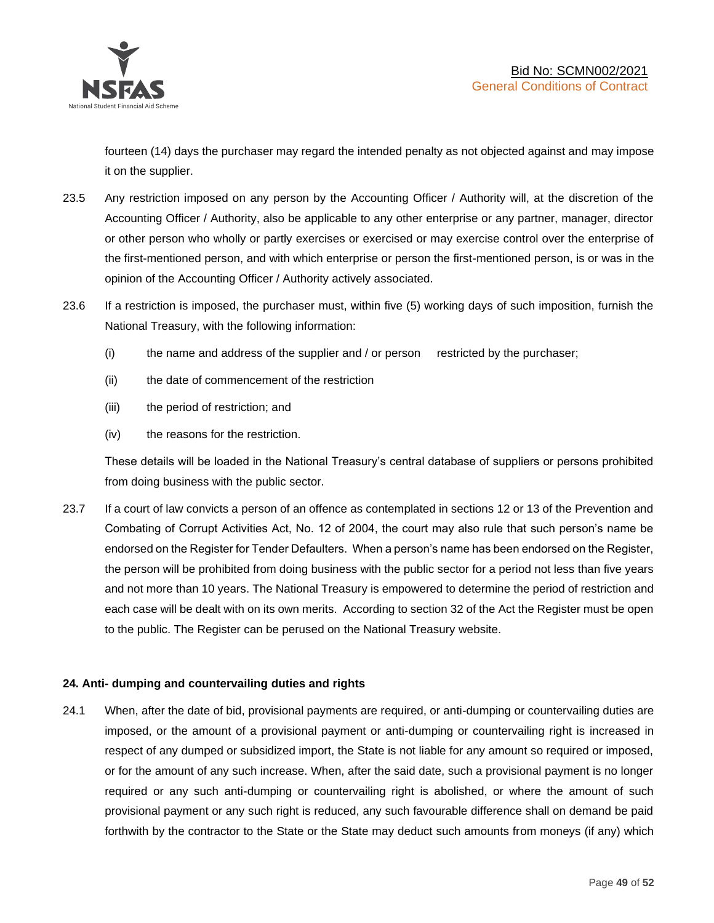

fourteen (14) days the purchaser may regard the intended penalty as not objected against and may impose it on the supplier.

- 23.5 Any restriction imposed on any person by the Accounting Officer / Authority will, at the discretion of the Accounting Officer / Authority, also be applicable to any other enterprise or any partner, manager, director or other person who wholly or partly exercises or exercised or may exercise control over the enterprise of the first-mentioned person, and with which enterprise or person the first-mentioned person, is or was in the opinion of the Accounting Officer / Authority actively associated.
- 23.6 If a restriction is imposed, the purchaser must, within five (5) working days of such imposition, furnish the National Treasury, with the following information:
	- (i) the name and address of the supplier and / or person restricted by the purchaser;
	- (ii) the date of commencement of the restriction
	- (iii) the period of restriction; and
	- (iv) the reasons for the restriction.

These details will be loaded in the National Treasury's central database of suppliers or persons prohibited from doing business with the public sector.

23.7 If a court of law convicts a person of an offence as contemplated in sections 12 or 13 of the Prevention and Combating of Corrupt Activities Act, No. 12 of 2004, the court may also rule that such person's name be endorsed on the Register for Tender Defaulters. When a person's name has been endorsed on the Register, the person will be prohibited from doing business with the public sector for a period not less than five years and not more than 10 years. The National Treasury is empowered to determine the period of restriction and each case will be dealt with on its own merits. According to section 32 of the Act the Register must be open to the public. The Register can be perused on the National Treasury website.

### **24. Anti- dumping and countervailing duties and rights**

24.1 When, after the date of bid, provisional payments are required, or anti-dumping or countervailing duties are imposed, or the amount of a provisional payment or anti-dumping or countervailing right is increased in respect of any dumped or subsidized import, the State is not liable for any amount so required or imposed, or for the amount of any such increase. When, after the said date, such a provisional payment is no longer required or any such anti-dumping or countervailing right is abolished, or where the amount of such provisional payment or any such right is reduced, any such favourable difference shall on demand be paid forthwith by the contractor to the State or the State may deduct such amounts from moneys (if any) which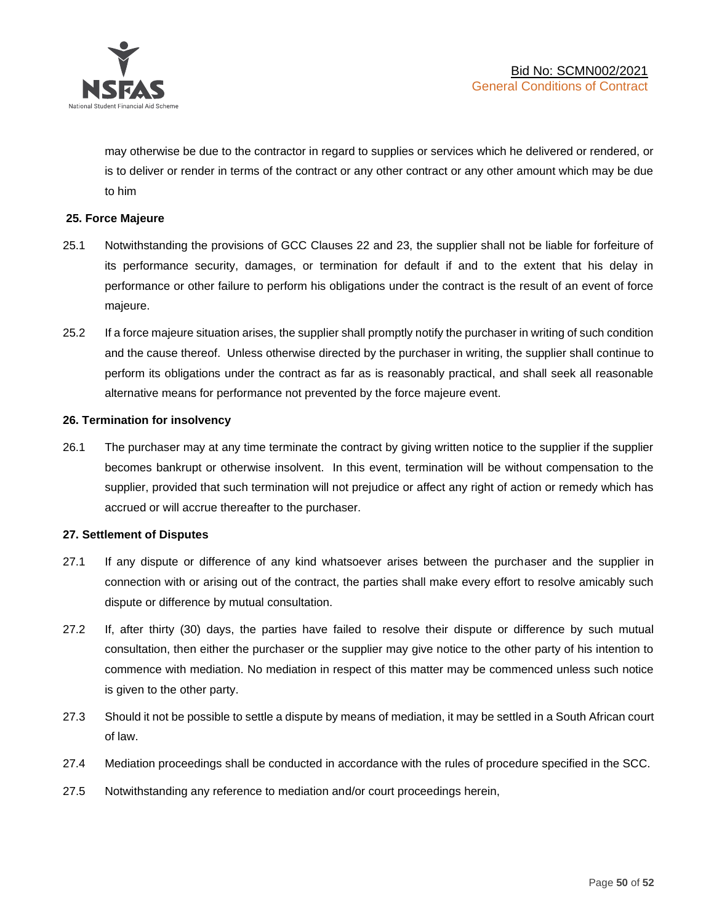

may otherwise be due to the contractor in regard to supplies or services which he delivered or rendered, or is to deliver or render in terms of the contract or any other contract or any other amount which may be due to him

### **25. Force Majeure**

- 25.1 Notwithstanding the provisions of GCC Clauses 22 and 23, the supplier shall not be liable for forfeiture of its performance security, damages, or termination for default if and to the extent that his delay in performance or other failure to perform his obligations under the contract is the result of an event of force majeure.
- 25.2 If a force majeure situation arises, the supplier shall promptly notify the purchaser in writing of such condition and the cause thereof. Unless otherwise directed by the purchaser in writing, the supplier shall continue to perform its obligations under the contract as far as is reasonably practical, and shall seek all reasonable alternative means for performance not prevented by the force majeure event.

#### **26. Termination for insolvency**

26.1 The purchaser may at any time terminate the contract by giving written notice to the supplier if the supplier becomes bankrupt or otherwise insolvent. In this event, termination will be without compensation to the supplier, provided that such termination will not prejudice or affect any right of action or remedy which has accrued or will accrue thereafter to the purchaser.

#### **27. Settlement of Disputes**

- 27.1 If any dispute or difference of any kind whatsoever arises between the purchaser and the supplier in connection with or arising out of the contract, the parties shall make every effort to resolve amicably such dispute or difference by mutual consultation.
- 27.2 If, after thirty (30) days, the parties have failed to resolve their dispute or difference by such mutual consultation, then either the purchaser or the supplier may give notice to the other party of his intention to commence with mediation. No mediation in respect of this matter may be commenced unless such notice is given to the other party.
- 27.3 Should it not be possible to settle a dispute by means of mediation, it may be settled in a South African court of law.
- 27.4 Mediation proceedings shall be conducted in accordance with the rules of procedure specified in the SCC.
- 27.5 Notwithstanding any reference to mediation and/or court proceedings herein,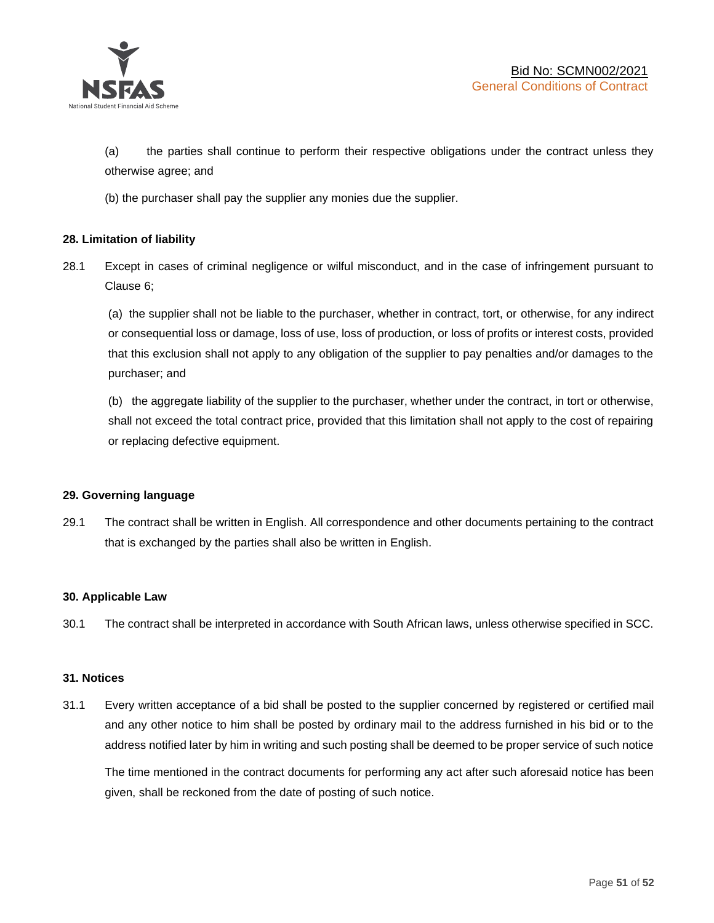

(a) the parties shall continue to perform their respective obligations under the contract unless they otherwise agree; and

(b) the purchaser shall pay the supplier any monies due the supplier.

### **28. Limitation of liability**

28.1 Except in cases of criminal negligence or wilful misconduct, and in the case of infringement pursuant to Clause 6;

(a) the supplier shall not be liable to the purchaser, whether in contract, tort, or otherwise, for any indirect or consequential loss or damage, loss of use, loss of production, or loss of profits or interest costs, provided that this exclusion shall not apply to any obligation of the supplier to pay penalties and/or damages to the purchaser; and

(b) the aggregate liability of the supplier to the purchaser, whether under the contract, in tort or otherwise, shall not exceed the total contract price, provided that this limitation shall not apply to the cost of repairing or replacing defective equipment.

### **29. Governing language**

29.1 The contract shall be written in English. All correspondence and other documents pertaining to the contract that is exchanged by the parties shall also be written in English.

### **30. Applicable Law**

30.1 The contract shall be interpreted in accordance with South African laws, unless otherwise specified in SCC.

### **31. Notices**

31.1 Every written acceptance of a bid shall be posted to the supplier concerned by registered or certified mail and any other notice to him shall be posted by ordinary mail to the address furnished in his bid or to the address notified later by him in writing and such posting shall be deemed to be proper service of such notice

The time mentioned in the contract documents for performing any act after such aforesaid notice has been given, shall be reckoned from the date of posting of such notice.